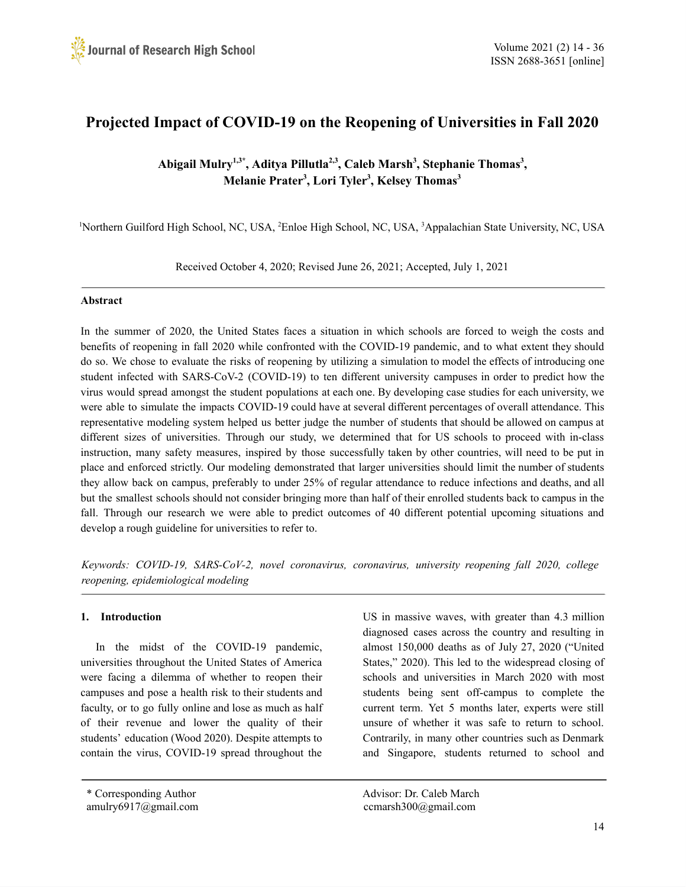# **Projected Impact of COVID-19 on the Reopening of Universities in Fall 2020**

# **Abigail Mulry 1,3\* , Aditya Pillutla 2,3 , Caleb Marsh 3 , Stephanie Thomas 3 , Melanie Prater 3 , Lori Tyler 3 , Kelsey Thomas 3**

<sup>1</sup>Northern Guilford High School, NC, USA, <sup>2</sup>Enloe High School, NC, USA, <sup>3</sup>Appalachian State University, NC, USA

Received October 4, 2020; Revised June 26, 2021; Accepted, July 1, 2021

### **Abstract**

In the summer of 2020, the United States faces a situation in which schools are forced to weigh the costs and benefits of reopening in fall 2020 while confronted with the COVID-19 pandemic, and to what extent they should do so. We chose to evaluate the risks of reopening by utilizing a simulation to model the effects of introducing one student infected with SARS-CoV-2 (COVID-19) to ten different university campuses in order to predict how the virus would spread amongst the student populations at each one. By developing case studies for each university, we were able to simulate the impacts COVID-19 could have at several different percentages of overall attendance. This representative modeling system helped us better judge the number of students that should be allowed on campus at different sizes of universities. Through our study, we determined that for US schools to proceed with in-class instruction, many safety measures, inspired by those successfully taken by other countries, will need to be put in place and enforced strictly. Our modeling demonstrated that larger universities should limit the number of students they allow back on campus, preferably to under 25% of regular attendance to reduce infections and deaths, and all but the smallest schools should not consider bringing more than half of their enrolled students back to campus in the fall. Through our research we were able to predict outcomes of 40 different potential upcoming situations and develop a rough guideline for universities to refer to.

*Keywords: COVID-19, SARS-CoV-2, novel coronavirus, coronavirus, university reopening fall 2020, college reopening, epidemiological modeling*

### **1. Introduction**

In the midst of the COVID-19 pandemic, universities throughout the United States of America were facing a dilemma of whether to reopen their campuses and pose a health risk to their students and faculty, or to go fully online and lose as much as half of their revenue and lower the quality of their students' education (Wood 2020). Despite attempts to contain the virus, COVID-19 spread throughout the

US in massive waves, with greater than 4.3 million diagnosed cases across the country and resulting in almost 150,000 deaths as of July 27, 2020 ("United States, " 2020). This led to the widespread closing of schools and universities in March 2020 with most students being sent off-campus to complete the current term. Yet 5 months later, experts were still unsure of whether it was safe to return to school. Contrarily, in many other countries such as Denmark and Singapore, students returned to school and

\* Corresponding Author Advisor: Dr. Caleb March amulry6917@gmail.com ccmarsh300@gmail.com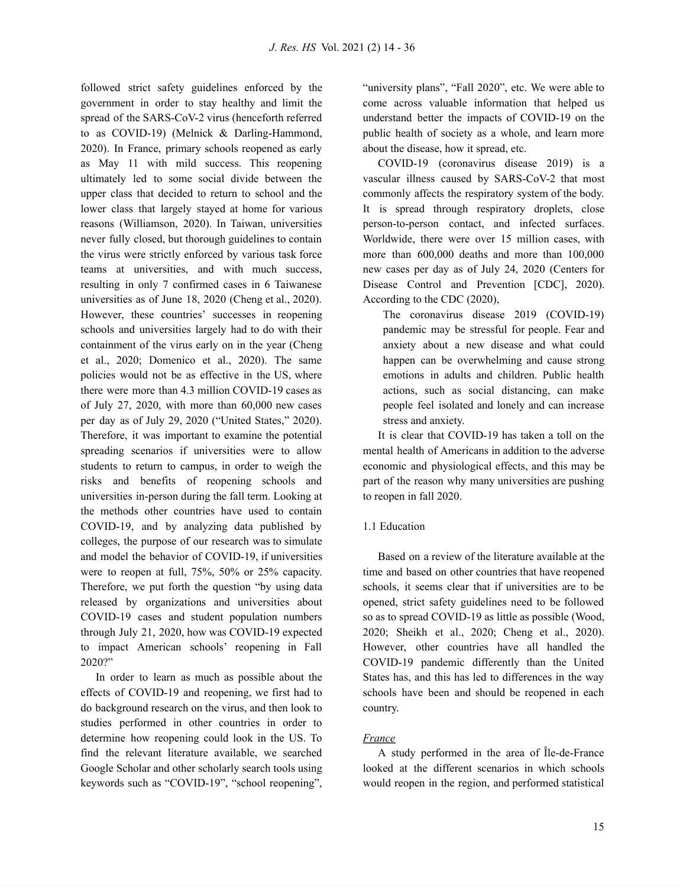followed strict safety guidelines enforced by the government in order to stay healthy and limit the spread of the SARS-CoV-2 virus (henceforth referred to as COVID-19) (Melnick & Darling-Hammond, 2020). In France, primary schools reopened as early as May 11 with mild success. This reopening ultimately led to some social divide between the upper class that decided to return to school and the lower class that largely stayed at home for various reasons (Williamson, 2020). In Taiwan, universities never fully closed, but thorough guidelines to contain the virus were strictly enforced by various task force teams at universities, and with much success, resulting in only 7 confirmed cases in 6 Taiwanese universities as of June 18, 2020 (Cheng et al., 2020). However, these countries' successes in reopening schools and universities largely had to do with their containment of the virus early on in the year (Cheng et al., 2020; Domenico et al., 2020). The same policies would not be as effective in the US, where there were more than 4.3 million COVID-19 cases as of July 27, 2020, with more than 60,000 new cases per day as of July 29, 2020 ("United States, " 2020). Therefore, it was important to examine the potential spreading scenarios if universities were to allow students to return to campus, in order to weigh the risks and benefits of reopening schools and universities in-person during the fall term. Looking at the methods other countries have used to contain COVID-19, and by analyzing data published by colleges, the purpose of our research was to simulate and model the behavior of COVID-19, if universities were to reopen at full, 75%, 50% or 25% capacity. Therefore, we put forth the question "by using data released by organizations and universities about COVID-19 cases and student population numbers through July 21, 2020, how was COVID-19 expected to impact American schools' reopening in Fall 2020?"

In order to learn as much as possible about the effects of COVID-19 and reopening, we first had to do background research on the virus, and then look to studies performed in other countries in order to determine how reopening could look in the US. To find the relevant literature available, we searched Google Scholar and other scholarly search tools using keywords such as "COVID-19" , "school reopening" ,

"university plans", "Fall 2020", etc. We were able to come across valuable information that helped us understand better the impacts of COVID-19 on the public health of society as a whole, and learn more about the disease, how it spread, etc.

COVID-19 (coronavirus disease 2019) is a vascular illness caused by SARS-CoV-2 that most commonly affects the respiratory system of the body. It is spread through respiratory droplets, close person-to-person contact, and infected surfaces. Worldwide, there were over 15 million cases, with more than 600,000 deaths and more than 100,000 new cases per day as of July 24, 2020 (Centers for Disease Control and Prevention [CDC], 2020). According to the CDC (2020),

The coronavirus disease 2019 (COVID-19) pandemic may be stressful for people. Fear and anxiety about a new disease and what could happen can be overwhelming and cause strong emotions in adults and children. Public health actions, such as social distancing, can make people feel isolated and lonely and can increase stress and anxiety.

It is clear that COVID-19 has taken a toll on the mental health of Americans in addition to the adverse economic and physiological effects, and this may be part of the reason why many universities are pushing to reopen in fall 2020.

#### 1.1 Education

Based on a review of the literature available at the time and based on other countries that have reopened schools, it seems clear that if universities are to be opened, strict safety guidelines need to be followed so as to spread COVID-19 as little as possible (Wood, 2020; Sheikh et al., 2020; Cheng et al., 2020). However, other countries have all handled the COVID-19 pandemic differently than the United States has, and this has led to differences in the way schools have been and should be reopened in each country.

### *France*

A study performed in the area of Île-de-France looked at the different scenarios in which schools would reopen in the region, and performed statistical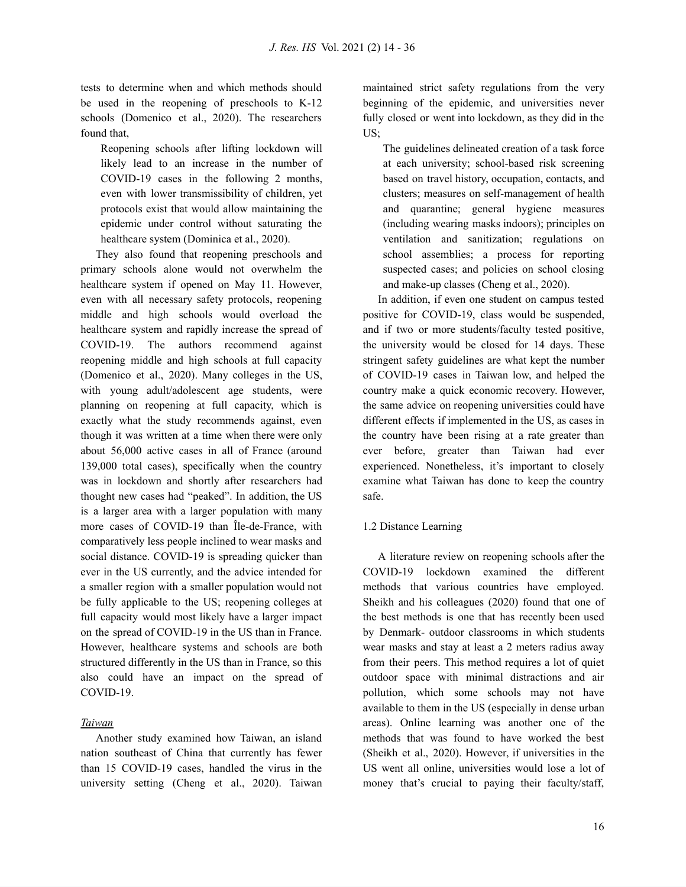tests to determine when and which methods should be used in the reopening of preschools to K-12 schools (Domenico et al., 2020). The researchers found that,

Reopening schools after lifting lockdown will likely lead to an increase in the number of COVID-19 cases in the following 2 months, even with lower transmissibility of children, yet protocols exist that would allow maintaining the epidemic under control without saturating the healthcare system (Dominica et al., 2020).

They also found that reopening preschools and primary schools alone would not overwhelm the healthcare system if opened on May 11. However, even with all necessary safety protocols, reopening middle and high schools would overload the healthcare system and rapidly increase the spread of COVID-19. The authors recommend against reopening middle and high schools at full capacity (Domenico et al., 2020). Many colleges in the US, with young adult/adolescent age students, were planning on reopening at full capacity, which is exactly what the study recommends against, even though it was written at a time when there were only about 56,000 active cases in all of France (around 139,000 total cases), specifically when the country was in lockdown and shortly after researchers had thought new cases had "peaked" . In addition, the US is a larger area with a larger population with many more cases of COVID-19 than Île-de-France, with comparatively less people inclined to wear masks and social distance. COVID-19 is spreading quicker than ever in the US currently, and the advice intended for a smaller region with a smaller population would not be fully applicable to the US; reopening colleges at full capacity would most likely have a larger impact on the spread of COVID-19 in the US than in France. However, healthcare systems and schools are both structured differently in the US than in France, so this also could have an impact on the spread of COVID-19.

#### *Taiwan*

Another study examined how Taiwan, an island nation southeast of China that currently has fewer than 15 COVID-19 cases, handled the virus in the university setting (Cheng et al., 2020). Taiwan

maintained strict safety regulations from the very beginning of the epidemic, and universities never fully closed or went into lockdown, as they did in the US;

The guidelines delineated creation of a task force at each university; school-based risk screening based on travel history, occupation, contacts, and clusters; measures on self-management of health and quarantine; general hygiene measures (including wearing masks indoors); principles on ventilation and sanitization; regulations on school assemblies; a process for reporting suspected cases; and policies on school closing and make-up classes (Cheng et al., 2020).

In addition, if even one student on campus tested positive for COVID-19, class would be suspended, and if two or more students/faculty tested positive, the university would be closed for 14 days. These stringent safety guidelines are what kept the number of COVID-19 cases in Taiwan low, and helped the country make a quick economic recovery. However, the same advice on reopening universities could have different effects if implemented in the US, as cases in the country have been rising at a rate greater than ever before, greater than Taiwan had ever experienced. Nonetheless, it's important to closely examine what Taiwan has done to keep the country safe.

#### 1.2 Distance Learning

A literature review on reopening schools after the COVID-19 lockdown examined the different methods that various countries have employed. Sheikh and his colleagues (2020) found that one of the best methods is one that has recently been used by Denmark- outdoor classrooms in which students wear masks and stay at least a 2 meters radius away from their peers. This method requires a lot of quiet outdoor space with minimal distractions and air pollution, which some schools may not have available to them in the US (especially in dense urban areas). Online learning was another one of the methods that was found to have worked the best (Sheikh et al., 2020). However, if universities in the US went all online, universities would lose a lot of money that's crucial to paying their faculty/staff,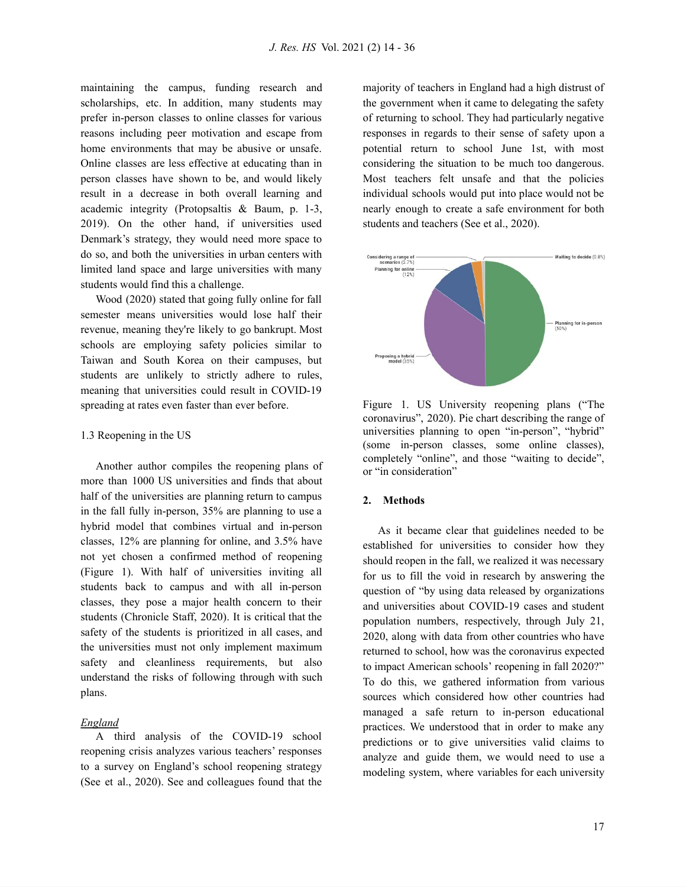maintaining the campus, funding research and scholarships, etc. In addition, many students may prefer in-person classes to online classes for various reasons including peer motivation and escape from home environments that may be abusive or unsafe. Online classes are less effective at educating than in person classes have shown to be, and would likely result in a decrease in both overall learning and academic integrity (Protopsaltis & Baum, p. 1-3, 2019). On the other hand, if universities used Denmark's strategy, they would need more space to do so, and both the universities in urban centers with limited land space and large universities with many students would find this a challenge.

Wood (2020) stated that going fully online for fall semester means universities would lose half their revenue, meaning they're likely to go bankrupt. Most schools are employing safety policies similar to Taiwan and South Korea on their campuses, but students are unlikely to strictly adhere to rules, meaning that universities could result in COVID-19 spreading at rates even faster than ever before.

#### 1.3 Reopening in the US

Another author compiles the reopening plans of more than 1000 US universities and finds that about half of the universities are planning return to campus in the fall fully in-person, 35% are planning to use a hybrid model that combines virtual and in-person classes, 12% are planning for online, and 3.5% have not yet chosen a confirmed method of reopening (Figure 1). With half of universities inviting all students back to campus and with all in-person classes, they pose a major health concern to their students (Chronicle Staff, 2020). It is critical that the safety of the students is prioritized in all cases, and the universities must not only implement maximum safety and cleanliness requirements, but also understand the risks of following through with such plans.

#### *England*

A third analysis of the COVID-19 school reopening crisis analyzes various teachers' responses to a survey on England's school reopening strategy (See et al., 2020). See and colleagues found that the majority of teachers in England had a high distrust of the government when it came to delegating the safety of returning to school. They had particularly negative responses in regards to their sense of safety upon a potential return to school June 1st, with most considering the situation to be much too dangerous. Most teachers felt unsafe and that the policies individual schools would put into place would not be nearly enough to create a safe environment for both students and teachers (See et al., 2020).



Figure 1. US University reopening plans ("The coronavirus" , 2020). Pie chart describing the range of universities planning to open "in-person" , "hybrid" (some in-person classes, some online classes), completely "online" , and those "waiting to decide" , or "in consideration"

#### **2. Methods**

As it became clear that guidelines needed to be established for universities to consider how they should reopen in the fall, we realized it was necessary for us to fill the void in research by answering the question of "by using data released by organizations and universities about COVID-19 cases and student population numbers, respectively, through July 21, 2020, along with data from other countries who have returned to school, how was the coronavirus expected to impact American schools' reopening in fall 2020?" To do this, we gathered information from various sources which considered how other countries had managed a safe return to in-person educational practices. We understood that in order to make any predictions or to give universities valid claims to analyze and guide them, we would need to use a modeling system, where variables for each university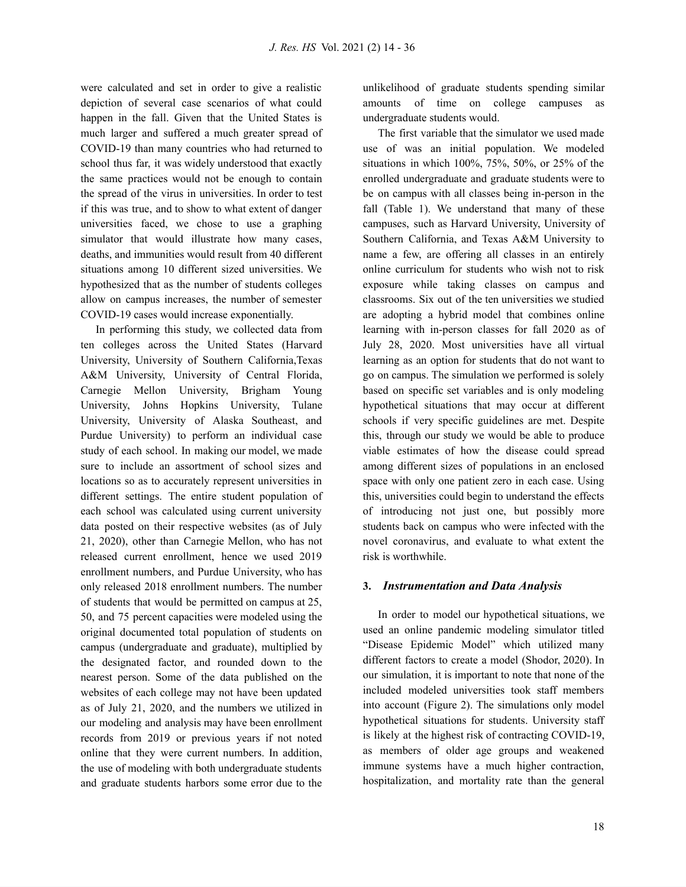were calculated and set in order to give a realistic depiction of several case scenarios of what could happen in the fall. Given that the United States is much larger and suffered a much greater spread of COVID-19 than many countries who had returned to school thus far, it was widely understood that exactly the same practices would not be enough to contain the spread of the virus in universities. In order to test if this was true, and to show to what extent of danger universities faced, we chose to use a graphing simulator that would illustrate how many cases, deaths, and immunities would result from 40 different situations among 10 different sized universities. We hypothesized that as the number of students colleges allow on campus increases, the number of semester COVID-19 cases would increase exponentially.

In performing this study, we collected data from ten colleges across the United States (Harvard University, University of Southern California,Texas A&M University, University of Central Florida, Carnegie Mellon University, Brigham Young University, Johns Hopkins University, Tulane University, University of Alaska Southeast, and Purdue University) to perform an individual case study of each school. In making our model, we made sure to include an assortment of school sizes and locations so as to accurately represent universities in different settings. The entire student population of each school was calculated using current university data posted on their respective websites (as of July 21, 2020), other than Carnegie Mellon, who has not released current enrollment, hence we used 2019 enrollment numbers, and Purdue University, who has only released 2018 enrollment numbers. The number of students that would be permitted on campus at 25, 50, and 75 percent capacities were modeled using the original documented total population of students on campus (undergraduate and graduate), multiplied by the designated factor, and rounded down to the nearest person. Some of the data published on the websites of each college may not have been updated as of July 21, 2020, and the numbers we utilized in our modeling and analysis may have been enrollment records from 2019 or previous years if not noted online that they were current numbers. In addition, the use of modeling with both undergraduate students and graduate students harbors some error due to the

unlikelihood of graduate students spending similar amounts of time on college campuses as undergraduate students would.

The first variable that the simulator we used made use of was an initial population. We modeled situations in which 100%, 75%, 50%, or 25% of the enrolled undergraduate and graduate students were to be on campus with all classes being in-person in the fall (Table 1). We understand that many of these campuses, such as Harvard University, University of Southern California, and Texas A&M University to name a few, are offering all classes in an entirely online curriculum for students who wish not to risk exposure while taking classes on campus and classrooms. Six out of the ten universities we studied are adopting a hybrid model that combines online learning with in-person classes for fall 2020 as of July 28, 2020. Most universities have all virtual learning as an option for students that do not want to go on campus. The simulation we performed is solely based on specific set variables and is only modeling hypothetical situations that may occur at different schools if very specific guidelines are met. Despite this, through our study we would be able to produce viable estimates of how the disease could spread among different sizes of populations in an enclosed space with only one patient zero in each case. Using this, universities could begin to understand the effects of introducing not just one, but possibly more students back on campus who were infected with the novel coronavirus, and evaluate to what extent the risk is worthwhile.

### **3.** *Instrumentation and Data Analysis*

In order to model our hypothetical situations, we used an online pandemic modeling simulator titled "Disease Epidemic Model" which utilized many different factors to create a model (Shodor, 2020). In our simulation, it is important to note that none of the included modeled universities took staff members into account (Figure 2). The simulations only model hypothetical situations for students. University staff is likely at the highest risk of contracting COVID-19, as members of older age groups and weakened immune systems have a much higher contraction, hospitalization, and mortality rate than the general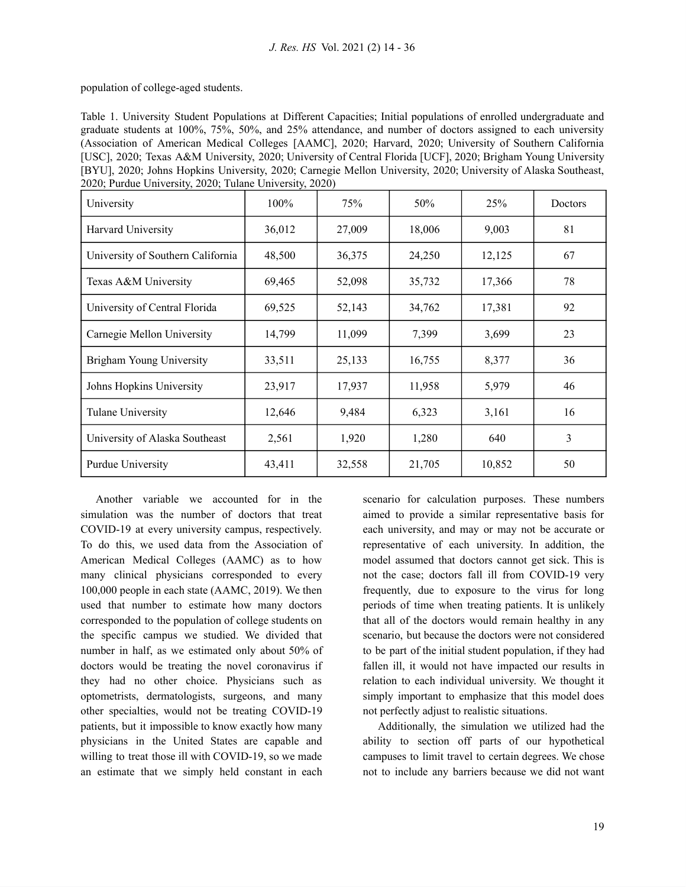population of college-aged students.

Table 1. University Student Populations at Different Capacities; Initial populations of enrolled undergraduate and graduate students at 100%, 75%, 50%, and 25% attendance, and number of doctors assigned to each university (Association of American Medical Colleges [AAMC], 2020; Harvard, 2020; University of Southern California [USC], 2020; Texas A&M University, 2020; University of Central Florida [UCF], 2020; Brigham Young University [BYU], 2020; Johns Hopkins University, 2020; Carnegie Mellon University, 2020; University of Alaska Southeast, 2020; Purdue University, 2020; Tulane University, 2020)

| University                        | $100\%$ | 75%    | 50%    | <b>25%</b> | Doctors |
|-----------------------------------|---------|--------|--------|------------|---------|
| Harvard University                | 36,012  | 27,009 | 18,006 | 9,003      | 81      |
| University of Southern California | 48,500  | 36,375 | 24,250 | 12,125     | 67      |
| Texas A&M University              | 69,465  | 52,098 | 35,732 | 17,366     | 78      |
| University of Central Florida     | 69,525  | 52,143 | 34,762 | 17,381     | 92      |
| Carnegie Mellon University        | 14,799  | 11,099 | 7,399  | 3,699      | 23      |
| Brigham Young University          | 33,511  | 25,133 | 16,755 | 8,377      | 36      |
| Johns Hopkins University          | 23,917  | 17,937 | 11,958 | 5,979      | 46      |
| Tulane University                 | 12,646  | 9,484  | 6,323  | 3,161      | 16      |
| University of Alaska Southeast    | 2,561   | 1,920  | 1,280  | 640        | 3       |
| Purdue University                 | 43,411  | 32,558 | 21,705 | 10,852     | 50      |

Another variable we accounted for in the simulation was the number of doctors that treat COVID-19 at every university campus, respectively. To do this, we used data from the Association of American Medical Colleges (AAMC) as to how many clinical physicians corresponded to every 100,000 people in each state (AAMC, 2019). We then used that number to estimate how many doctors corresponded to the population of college students on the specific campus we studied. We divided that number in half, as we estimated only about 50% of doctors would be treating the novel coronavirus if they had no other choice. Physicians such as optometrists, dermatologists, surgeons, and many other specialties, would not be treating COVID-19 patients, but it impossible to know exactly how many physicians in the United States are capable and willing to treat those ill with COVID-19, so we made an estimate that we simply held constant in each scenario for calculation purposes. These numbers aimed to provide a similar representative basis for each university, and may or may not be accurate or representative of each university. In addition, the model assumed that doctors cannot get sick. This is not the case; doctors fall ill from COVID-19 very frequently, due to exposure to the virus for long periods of time when treating patients. It is unlikely that all of the doctors would remain healthy in any scenario, but because the doctors were not considered to be part of the initial student population, if they had fallen ill, it would not have impacted our results in relation to each individual university. We thought it simply important to emphasize that this model does not perfectly adjust to realistic situations.

Additionally, the simulation we utilized had the ability to section off parts of our hypothetical campuses to limit travel to certain degrees. We chose not to include any barriers because we did not want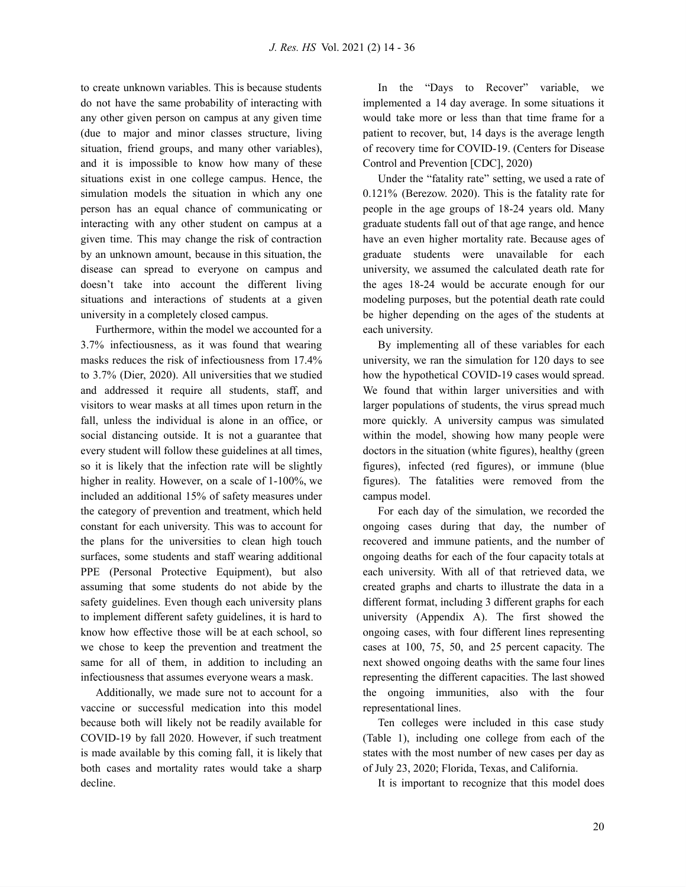to create unknown variables. This is because students do not have the same probability of interacting with any other given person on campus at any given time (due to major and minor classes structure, living situation, friend groups, and many other variables), and it is impossible to know how many of these situations exist in one college campus. Hence, the simulation models the situation in which any one person has an equal chance of communicating or interacting with any other student on campus at a given time. This may change the risk of contraction by an unknown amount, because in this situation, the disease can spread to everyone on campus and doesn't take into account the different living situations and interactions of students at a given university in a completely closed campus.

Furthermore, within the model we accounted for a 3.7% infectiousness, as it was found that wearing masks reduces the risk of infectiousness from 17.4% to 3.7% (Dier, 2020). All universities that we studied and addressed it require all students, staff, and visitors to wear masks at all times upon return in the fall, unless the individual is alone in an office, or social distancing outside. It is not a guarantee that every student will follow these guidelines at all times, so it is likely that the infection rate will be slightly higher in reality. However, on a scale of 1-100%, we included an additional 15% of safety measures under the category of prevention and treatment, which held constant for each university. This was to account for the plans for the universities to clean high touch surfaces, some students and staff wearing additional PPE (Personal Protective Equipment), but also assuming that some students do not abide by the safety guidelines. Even though each university plans to implement different safety guidelines, it is hard to know how effective those will be at each school, so we chose to keep the prevention and treatment the same for all of them, in addition to including an infectiousness that assumes everyone wears a mask.

Additionally, we made sure not to account for a vaccine or successful medication into this model because both will likely not be readily available for COVID-19 by fall 2020. However, if such treatment is made available by this coming fall, it is likely that both cases and mortality rates would take a sharp decline.

In the "Days to Recover" variable, we implemented a 14 day average. In some situations it would take more or less than that time frame for a patient to recover, but, 14 days is the average length of recovery time for COVID-19. (Centers for Disease Control and Prevention [CDC], 2020)

Under the "fatality rate" setting, we used a rate of 0.121% (Berezow. 2020). This is the fatality rate for people in the age groups of 18-24 years old. Many graduate students fall out of that age range, and hence have an even higher mortality rate. Because ages of graduate students were unavailable for each university, we assumed the calculated death rate for the ages 18-24 would be accurate enough for our modeling purposes, but the potential death rate could be higher depending on the ages of the students at each university.

By implementing all of these variables for each university, we ran the simulation for 120 days to see how the hypothetical COVID-19 cases would spread. We found that within larger universities and with larger populations of students, the virus spread much more quickly. A university campus was simulated within the model, showing how many people were doctors in the situation (white figures), healthy (green figures), infected (red figures), or immune (blue figures). The fatalities were removed from the campus model.

For each day of the simulation, we recorded the ongoing cases during that day, the number of recovered and immune patients, and the number of ongoing deaths for each of the four capacity totals at each university. With all of that retrieved data, we created graphs and charts to illustrate the data in a different format, including 3 different graphs for each university (Appendix A). The first showed the ongoing cases, with four different lines representing cases at 100, 75, 50, and 25 percent capacity. The next showed ongoing deaths with the same four lines representing the different capacities. The last showed the ongoing immunities, also with the four representational lines.

Ten colleges were included in this case study (Table 1), including one college from each of the states with the most number of new cases per day as of July 23, 2020; Florida, Texas, and California.

It is important to recognize that this model does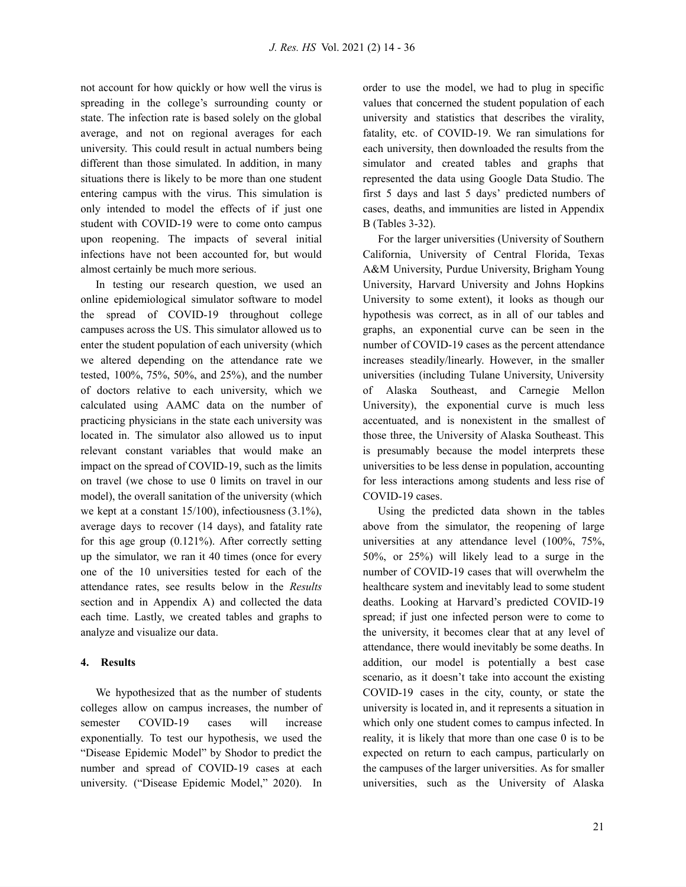not account for how quickly or how well the virus is spreading in the college's surrounding county or state. The infection rate is based solely on the global average, and not on regional averages for each university. This could result in actual numbers being different than those simulated. In addition, in many situations there is likely to be more than one student entering campus with the virus. This simulation is only intended to model the effects of if just one student with COVID-19 were to come onto campus upon reopening. The impacts of several initial infections have not been accounted for, but would almost certainly be much more serious.

In testing our research question, we used an online epidemiological simulator software to model the spread of COVID-19 throughout college campuses across the US. This simulator allowed us to enter the student population of each university (which we altered depending on the attendance rate we tested, 100%, 75%, 50%, and 25%), and the number of doctors relative to each university, which we calculated using AAMC data on the number of practicing physicians in the state each university was located in. The simulator also allowed us to input relevant constant variables that would make an impact on the spread of COVID-19, such as the limits on travel (we chose to use 0 limits on travel in our model), the overall sanitation of the university (which we kept at a constant 15/100), infectiousness (3.1%), average days to recover (14 days), and fatality rate for this age group (0.121%). After correctly setting up the simulator, we ran it 40 times (once for every one of the 10 universities tested for each of the attendance rates, see results below in the *Results* section and in Appendix A) and collected the data each time. Lastly, we created tables and graphs to analyze and visualize our data.

#### **4. Results**

We hypothesized that as the number of students colleges allow on campus increases, the number of semester COVID-19 cases will increase exponentially. To test our hypothesis, we used the "Disease Epidemic Model" by Shodor to predict the number and spread of COVID-19 cases at each university. ("Disease Epidemic Model, " 2020). In order to use the model, we had to plug in specific values that concerned the student population of each university and statistics that describes the virality, fatality, etc. of COVID-19. We ran simulations for each university, then downloaded the results from the simulator and created tables and graphs that represented the data using Google Data Studio. The first 5 days and last 5 days' predicted numbers of cases, deaths, and immunities are listed in Appendix B (Tables 3-32).

For the larger universities (University of Southern California, University of Central Florida, Texas A&M University, Purdue University, Brigham Young University, Harvard University and Johns Hopkins University to some extent), it looks as though our hypothesis was correct, as in all of our tables and graphs, an exponential curve can be seen in the number of COVID-19 cases as the percent attendance increases steadily/linearly. However, in the smaller universities (including Tulane University, University of Alaska Southeast, and Carnegie Mellon University), the exponential curve is much less accentuated, and is nonexistent in the smallest of those three, the University of Alaska Southeast. This is presumably because the model interprets these universities to be less dense in population, accounting for less interactions among students and less rise of COVID-19 cases.

Using the predicted data shown in the tables above from the simulator, the reopening of large universities at any attendance level (100%, 75%, 50%, or 25%) will likely lead to a surge in the number of COVID-19 cases that will overwhelm the healthcare system and inevitably lead to some student deaths. Looking at Harvard's predicted COVID-19 spread; if just one infected person were to come to the university, it becomes clear that at any level of attendance, there would inevitably be some deaths. In addition, our model is potentially a best case scenario, as it doesn't take into account the existing COVID-19 cases in the city, county, or state the university is located in, and it represents a situation in which only one student comes to campus infected. In reality, it is likely that more than one case 0 is to be expected on return to each campus, particularly on the campuses of the larger universities. As for smaller universities, such as the University of Alaska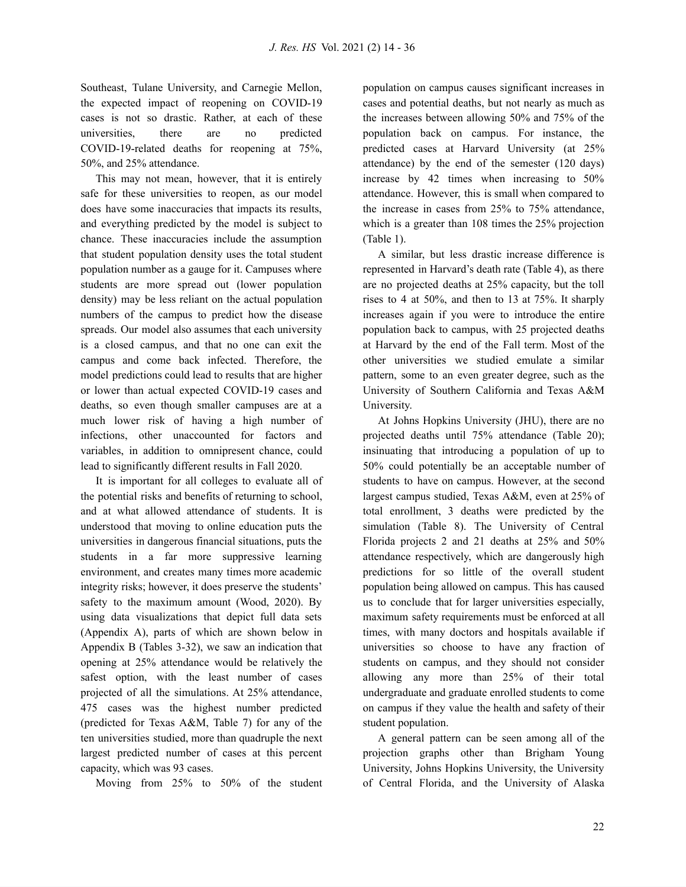Southeast, Tulane University, and Carnegie Mellon, the expected impact of reopening on COVID-19 cases is not so drastic. Rather, at each of these universities, there are no predicted COVID-19-related deaths for reopening at 75%, 50%, and 25% attendance.

This may not mean, however, that it is entirely safe for these universities to reopen, as our model does have some inaccuracies that impacts its results, and everything predicted by the model is subject to chance. These inaccuracies include the assumption that student population density uses the total student population number as a gauge for it. Campuses where students are more spread out (lower population density) may be less reliant on the actual population numbers of the campus to predict how the disease spreads. Our model also assumes that each university is a closed campus, and that no one can exit the campus and come back infected. Therefore, the model predictions could lead to results that are higher or lower than actual expected COVID-19 cases and deaths, so even though smaller campuses are at a much lower risk of having a high number of infections, other unaccounted for factors and variables, in addition to omnipresent chance, could lead to significantly different results in Fall 2020.

It is important for all colleges to evaluate all of the potential risks and benefits of returning to school, and at what allowed attendance of students. It is understood that moving to online education puts the universities in dangerous financial situations, puts the students in a far more suppressive learning environment, and creates many times more academic integrity risks; however, it does preserve the students' safety to the maximum amount (Wood, 2020). By using data visualizations that depict full data sets (Appendix A), parts of which are shown below in Appendix B (Tables 3-32), we saw an indication that opening at 25% attendance would be relatively the safest option, with the least number of cases projected of all the simulations. At 25% attendance, 475 cases was the highest number predicted (predicted for Texas A&M, Table 7) for any of the ten universities studied, more than quadruple the next largest predicted number of cases at this percent capacity, which was 93 cases.

Moving from 25% to 50% of the student

population on campus causes significant increases in cases and potential deaths, but not nearly as much as the increases between allowing 50% and 75% of the population back on campus. For instance, the predicted cases at Harvard University (at 25% attendance) by the end of the semester (120 days) increase by 42 times when increasing to 50% attendance. However, this is small when compared to the increase in cases from 25% to 75% attendance, which is a greater than 108 times the 25% projection (Table 1).

A similar, but less drastic increase difference is represented in Harvard's death rate (Table 4), as there are no projected deaths at 25% capacity, but the toll rises to 4 at 50%, and then to 13 at 75%. It sharply increases again if you were to introduce the entire population back to campus, with 25 projected deaths at Harvard by the end of the Fall term. Most of the other universities we studied emulate a similar pattern, some to an even greater degree, such as the University of Southern California and Texas A&M University.

At Johns Hopkins University (JHU), there are no projected deaths until 75% attendance (Table 20); insinuating that introducing a population of up to 50% could potentially be an acceptable number of students to have on campus. However, at the second largest campus studied, Texas A&M, even at 25% of total enrollment, 3 deaths were predicted by the simulation (Table 8). The University of Central Florida projects 2 and 21 deaths at 25% and 50% attendance respectively, which are dangerously high predictions for so little of the overall student population being allowed on campus. This has caused us to conclude that for larger universities especially, maximum safety requirements must be enforced at all times, with many doctors and hospitals available if universities so choose to have any fraction of students on campus, and they should not consider allowing any more than 25% of their total undergraduate and graduate enrolled students to come on campus if they value the health and safety of their student population.

A general pattern can be seen among all of the projection graphs other than Brigham Young University, Johns Hopkins University, the University of Central Florida, and the University of Alaska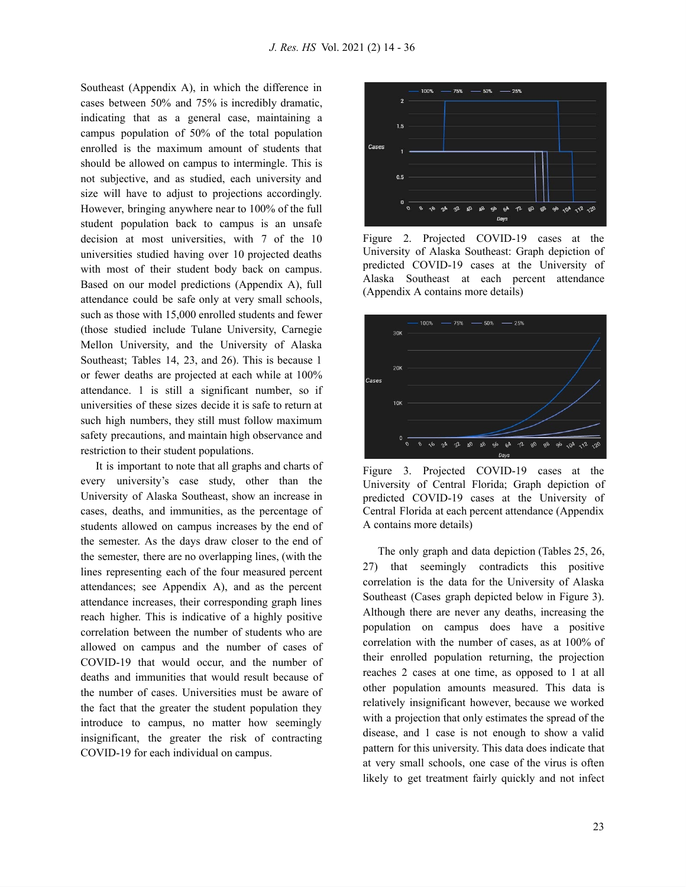Southeast (Appendix A), in which the difference in cases between 50% and 75% is incredibly dramatic, indicating that as a general case, maintaining a campus population of 50% of the total population enrolled is the maximum amount of students that should be allowed on campus to intermingle. This is not subjective, and as studied, each university and size will have to adjust to projections accordingly. However, bringing anywhere near to 100% of the full student population back to campus is an unsafe decision at most universities, with 7 of the 10 universities studied having over 10 projected deaths with most of their student body back on campus. Based on our model predictions (Appendix A), full attendance could be safe only at very small schools, such as those with 15,000 enrolled students and fewer (those studied include Tulane University, Carnegie Mellon University, and the University of Alaska Southeast; Tables 14, 23, and 26). This is because 1 or fewer deaths are projected at each while at 100% attendance. 1 is still a significant number, so if universities of these sizes decide it is safe to return at such high numbers, they still must follow maximum safety precautions, and maintain high observance and restriction to their student populations.

It is important to note that all graphs and charts of every university's case study, other than the University of Alaska Southeast, show an increase in cases, deaths, and immunities, as the percentage of students allowed on campus increases by the end of the semester. As the days draw closer to the end of the semester, there are no overlapping lines, (with the lines representing each of the four measured percent attendances; see Appendix A), and as the percent attendance increases, their corresponding graph lines reach higher. This is indicative of a highly positive correlation between the number of students who are allowed on campus and the number of cases of COVID-19 that would occur, and the number of deaths and immunities that would result because of the number of cases. Universities must be aware of the fact that the greater the student population they introduce to campus, no matter how seemingly insignificant, the greater the risk of contracting COVID-19 for each individual on campus.



Figure 2. Projected COVID-19 cases at the University of Alaska Southeast: Graph depiction of predicted COVID-19 cases at the University of Alaska Southeast at each percent attendance (Appendix A contains more details)



Figure 3. Projected COVID-19 cases at the University of Central Florida; Graph depiction of predicted COVID-19 cases at the University of Central Florida at each percent attendance (Appendix A contains more details)

The only graph and data depiction (Tables 25, 26, 27) that seemingly contradicts this positive correlation is the data for the University of Alaska Southeast (Cases graph depicted below in Figure 3). Although there are never any deaths, increasing the population on campus does have a positive correlation with the number of cases, as at 100% of their enrolled population returning, the projection reaches 2 cases at one time, as opposed to 1 at all other population amounts measured. This data is relatively insignificant however, because we worked with a projection that only estimates the spread of the disease, and 1 case is not enough to show a valid pattern for this university. This data does indicate that at very small schools, one case of the virus is often likely to get treatment fairly quickly and not infect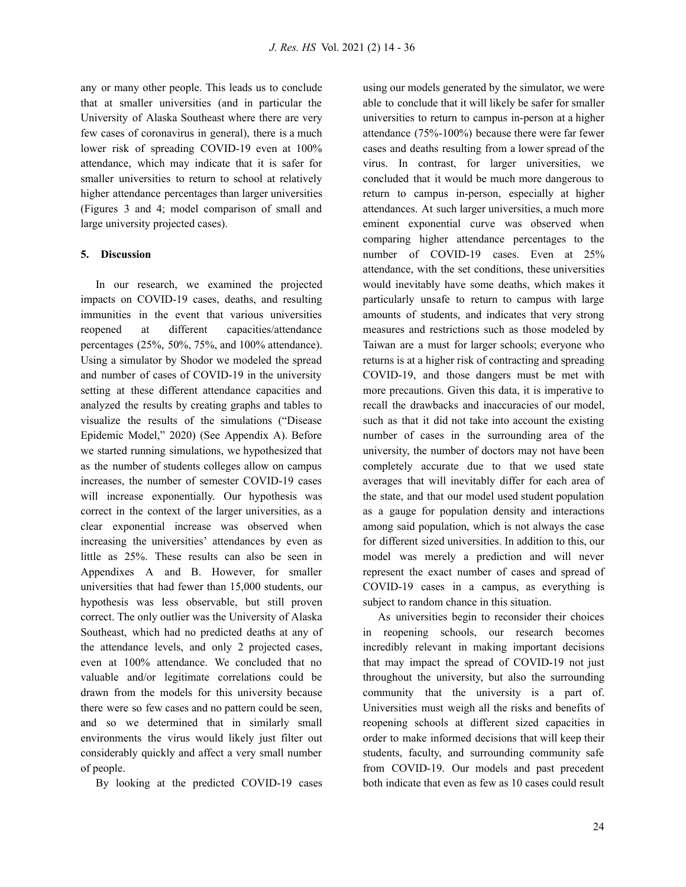any or many other people. This leads us to conclude that at smaller universities (and in particular the University of Alaska Southeast where there are very few cases of coronavirus in general), there is a much lower risk of spreading COVID-19 even at 100% attendance, which may indicate that it is safer for smaller universities to return to school at relatively higher attendance percentages than larger universities (Figures 3 and 4; model comparison of small and large university projected cases).

#### **5. Discussion**

In our research, we examined the projected impacts on COVID-19 cases, deaths, and resulting immunities in the event that various universities reopened at different capacities/attendance percentages (25%, 50%, 75%, and 100% attendance). Using a simulator by Shodor we modeled the spread and number of cases of COVID-19 in the university setting at these different attendance capacities and analyzed the results by creating graphs and tables to visualize the results of the simulations ("Disease Epidemic Model, " 2020) (See Appendix A). Before we started running simulations, we hypothesized that as the number of students colleges allow on campus increases, the number of semester COVID-19 cases will increase exponentially. Our hypothesis was correct in the context of the larger universities, as a clear exponential increase was observed when increasing the universities' attendances by even as little as 25%. These results can also be seen in Appendixes A and B. However, for smaller universities that had fewer than 15,000 students, our hypothesis was less observable, but still proven correct. The only outlier was the University of Alaska Southeast, which had no predicted deaths at any of the attendance levels, and only 2 projected cases, even at 100% attendance. We concluded that no valuable and/or legitimate correlations could be drawn from the models for this university because there were so few cases and no pattern could be seen, and so we determined that in similarly small environments the virus would likely just filter out considerably quickly and affect a very small number of people.

By looking at the predicted COVID-19 cases

using our models generated by the simulator, we were able to conclude that it will likely be safer for smaller universities to return to campus in-person at a higher attendance (75%-100%) because there were far fewer cases and deaths resulting from a lower spread of the virus. In contrast, for larger universities, we concluded that it would be much more dangerous to return to campus in-person, especially at higher attendances. At such larger universities, a much more eminent exponential curve was observed when comparing higher attendance percentages to the number of COVID-19 cases. Even at 25% attendance, with the set conditions, these universities would inevitably have some deaths, which makes it particularly unsafe to return to campus with large amounts of students, and indicates that very strong measures and restrictions such as those modeled by Taiwan are a must for larger schools; everyone who returns is at a higher risk of contracting and spreading COVID-19, and those dangers must be met with more precautions. Given this data, it is imperative to recall the drawbacks and inaccuracies of our model, such as that it did not take into account the existing number of cases in the surrounding area of the university, the number of doctors may not have been completely accurate due to that we used state averages that will inevitably differ for each area of the state, and that our model used student population as a gauge for population density and interactions among said population, which is not always the case for different sized universities. In addition to this, our model was merely a prediction and will never represent the exact number of cases and spread of COVID-19 cases in a campus, as everything is subject to random chance in this situation.

As universities begin to reconsider their choices in reopening schools, our research becomes incredibly relevant in making important decisions that may impact the spread of COVID-19 not just throughout the university, but also the surrounding community that the university is a part of. Universities must weigh all the risks and benefits of reopening schools at different sized capacities in order to make informed decisions that will keep their students, faculty, and surrounding community safe from COVID-19. Our models and past precedent both indicate that even as few as 10 cases could result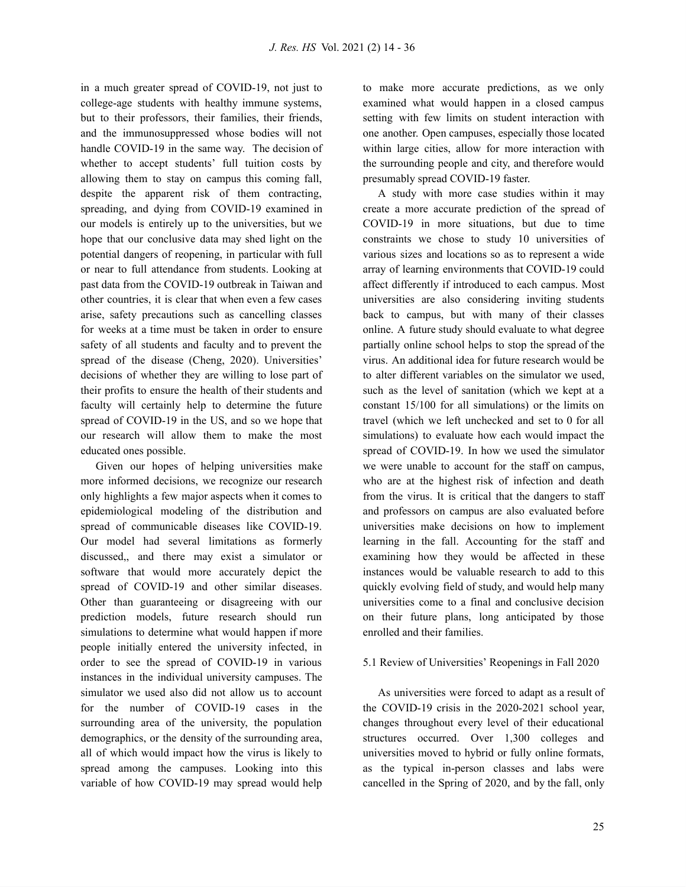in a much greater spread of COVID-19, not just to college-age students with healthy immune systems, but to their professors, their families, their friends, and the immunosuppressed whose bodies will not handle COVID-19 in the same way. The decision of whether to accept students' full tuition costs by allowing them to stay on campus this coming fall, despite the apparent risk of them contracting, spreading, and dying from COVID-19 examined in our models is entirely up to the universities, but we hope that our conclusive data may shed light on the potential dangers of reopening, in particular with full or near to full attendance from students. Looking at past data from the COVID-19 outbreak in Taiwan and other countries, it is clear that when even a few cases arise, safety precautions such as cancelling classes for weeks at a time must be taken in order to ensure safety of all students and faculty and to prevent the spread of the disease (Cheng, 2020). Universities' decisions of whether they are willing to lose part of their profits to ensure the health of their students and faculty will certainly help to determine the future spread of COVID-19 in the US, and so we hope that our research will allow them to make the most educated ones possible.

Given our hopes of helping universities make more informed decisions, we recognize our research only highlights a few major aspects when it comes to epidemiological modeling of the distribution and spread of communicable diseases like COVID-19. Our model had several limitations as formerly discussed,, and there may exist a simulator or software that would more accurately depict the spread of COVID-19 and other similar diseases. Other than guaranteeing or disagreeing with our prediction models, future research should run simulations to determine what would happen if more people initially entered the university infected, in order to see the spread of COVID-19 in various instances in the individual university campuses. The simulator we used also did not allow us to account for the number of COVID-19 cases in the surrounding area of the university, the population demographics, or the density of the surrounding area, all of which would impact how the virus is likely to spread among the campuses. Looking into this variable of how COVID-19 may spread would help

to make more accurate predictions, as we only examined what would happen in a closed campus setting with few limits on student interaction with one another. Open campuses, especially those located within large cities, allow for more interaction with the surrounding people and city, and therefore would presumably spread COVID-19 faster.

A study with more case studies within it may create a more accurate prediction of the spread of COVID-19 in more situations, but due to time constraints we chose to study 10 universities of various sizes and locations so as to represent a wide array of learning environments that COVID-19 could affect differently if introduced to each campus. Most universities are also considering inviting students back to campus, but with many of their classes online. A future study should evaluate to what degree partially online school helps to stop the spread of the virus. An additional idea for future research would be to alter different variables on the simulator we used, such as the level of sanitation (which we kept at a constant 15/100 for all simulations) or the limits on travel (which we left unchecked and set to 0 for all simulations) to evaluate how each would impact the spread of COVID-19. In how we used the simulator we were unable to account for the staff on campus, who are at the highest risk of infection and death from the virus. It is critical that the dangers to staff and professors on campus are also evaluated before universities make decisions on how to implement learning in the fall. Accounting for the staff and examining how they would be affected in these instances would be valuable research to add to this quickly evolving field of study, and would help many universities come to a final and conclusive decision on their future plans, long anticipated by those enrolled and their families.

#### 5.1 Review of Universities' Reopenings in Fall 2020

As universities were forced to adapt as a result of the COVID-19 crisis in the 2020-2021 school year, changes throughout every level of their educational structures occurred. Over 1,300 colleges and universities moved to hybrid or fully online formats, as the typical in-person classes and labs were cancelled in the Spring of 2020, and by the fall, only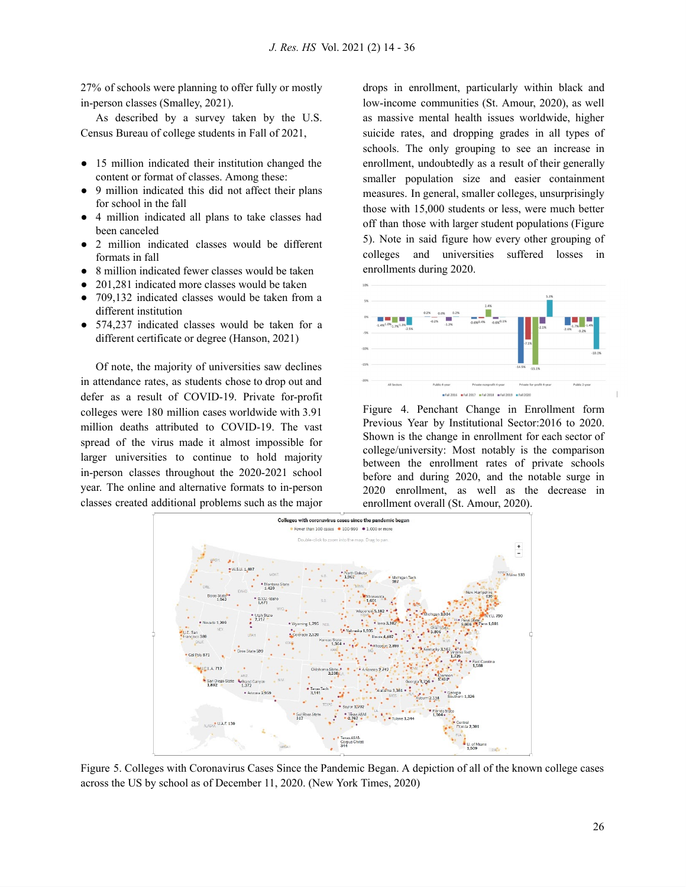27% of schools were planning to offer fully or mostly in-person classes (Smalley, 2021).

As described by a survey taken by the U.S. Census Bureau of college students in Fall of 2021,

- 15 million indicated their institution changed the content or format of classes. Among these:
- 9 million indicated this did not affect their plans for school in the fall
- 4 million indicated all plans to take classes had been canceled
- 2 million indicated classes would be different formats in fall
- 8 million indicated fewer classes would be taken
- 201,281 indicated more classes would be taken
- 709,132 indicated classes would be taken from a different institution
- 574,237 indicated classes would be taken for a different certificate or degree (Hanson, 2021)

Of note, the majority of universities saw declines in attendance rates, as students chose to drop out and defer as a result of COVID-19. Private for-profit colleges were 180 million cases worldwide with 3.91 million deaths attributed to COVID-19. The vast spread of the virus made it almost impossible for larger universities to continue to hold majority in-person classes throughout the 2020-2021 school year. The online and alternative formats to in-person classes created additional problems such as the major

drops in enrollment, particularly within black and low-income communities (St. Amour, 2020), as well as massive mental health issues worldwide, higher suicide rates, and dropping grades in all types of schools. The only grouping to see an increase in enrollment, undoubtedly as a result of their generally smaller population size and easier containment measures. In general, smaller colleges, unsurprisingly those with 15,000 students or less, were much better off than those with larger student populations (Figure 5). Note in said figure how every other grouping of colleges and universities suffered losses in enrollments during 2020.



Figure 4. Penchant Change in Enrollment form Previous Year by Institutional Sector:2016 to 2020. Shown is the change in enrollment for each sector of college/university: Most notably is the comparison between the enrollment rates of private schools before and during 2020, and the notable surge in 2020 enrollment, as well as the decrease in enrollment overall (St. Amour, 2020).



Figure 5. Colleges with Coronavirus Cases Since the Pandemic Began. A depiction of all of the known college cases across the US by school as of December 11, 2020. (New York Times, 2020)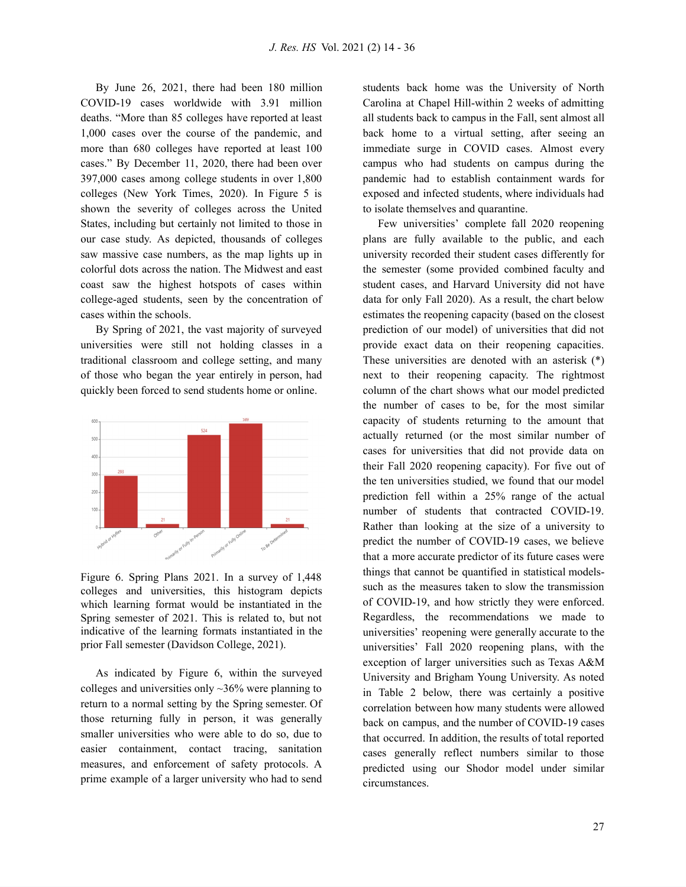By June 26, 2021, there had been 180 million COVID-19 cases worldwide with 3.91 million deaths. "More than 85 colleges have reported at least 1,000 cases over the course of the pandemic, and more than 680 colleges have reported at least 100 cases. " By December 11, 2020, there had been over 397,000 cases among college students in over 1,800 colleges (New York Times, 2020). In Figure 5 is shown the severity of colleges across the United States, including but certainly not limited to those in our case study. As depicted, thousands of colleges saw massive case numbers, as the map lights up in colorful dots across the nation. The Midwest and east coast saw the highest hotspots of cases within college-aged students, seen by the concentration of cases within the schools.

By Spring of 2021, the vast majority of surveyed universities were still not holding classes in a traditional classroom and college setting, and many of those who began the year entirely in person, had quickly been forced to send students home or online.



Figure 6. Spring Plans 2021. In a survey of 1,448 colleges and universities, this histogram depicts which learning format would be instantiated in the Spring semester of 2021. This is related to, but not indicative of the learning formats instantiated in the prior Fall semester (Davidson College, 2021).

As indicated by Figure 6, within the surveyed colleges and universities only  $\sim$ 36% were planning to return to a normal setting by the Spring semester. Of those returning fully in person, it was generally smaller universities who were able to do so, due to easier containment, contact tracing, sanitation measures, and enforcement of safety protocols. A prime example of a larger university who had to send

students back home was the University of North Carolina at Chapel Hill-within 2 weeks of admitting all students back to campus in the Fall, sent almost all back home to a virtual setting, after seeing an immediate surge in COVID cases. Almost every campus who had students on campus during the pandemic had to establish containment wards for exposed and infected students, where individuals had to isolate themselves and quarantine.

Few universities' complete fall 2020 reopening plans are fully available to the public, and each university recorded their student cases differently for the semester (some provided combined faculty and student cases, and Harvard University did not have data for only Fall 2020). As a result, the chart below estimates the reopening capacity (based on the closest prediction of our model) of universities that did not provide exact data on their reopening capacities. These universities are denoted with an asterisk (\*) next to their reopening capacity. The rightmost column of the chart shows what our model predicted the number of cases to be, for the most similar capacity of students returning to the amount that actually returned (or the most similar number of cases for universities that did not provide data on their Fall 2020 reopening capacity). For five out of the ten universities studied, we found that our model prediction fell within a 25% range of the actual number of students that contracted COVID-19. Rather than looking at the size of a university to predict the number of COVID-19 cases, we believe that a more accurate predictor of its future cases were things that cannot be quantified in statistical modelssuch as the measures taken to slow the transmission of COVID-19, and how strictly they were enforced. Regardless, the recommendations we made to universities' reopening were generally accurate to the universities' Fall 2020 reopening plans, with the exception of larger universities such as Texas A&M University and Brigham Young University. As noted in Table 2 below, there was certainly a positive correlation between how many students were allowed back on campus, and the number of COVID-19 cases that occurred. In addition, the results of total reported cases generally reflect numbers similar to those predicted using our Shodor model under similar circumstances.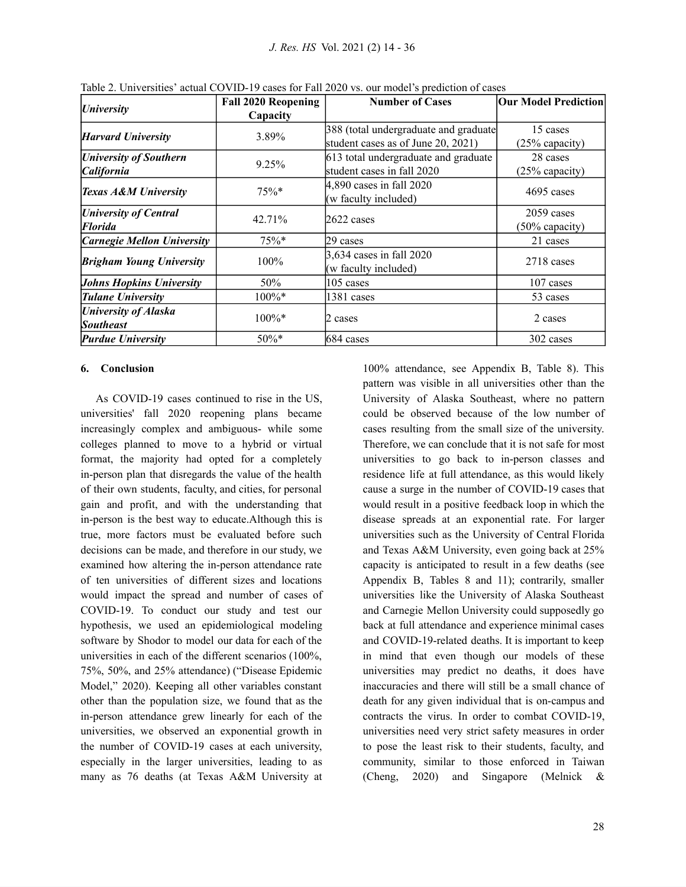| <i><b>University</b></i>        | <b>Fall 2020 Reopening</b> | <b>Number of Cases</b>                | <b>Our Model Prediction</b> |
|---------------------------------|----------------------------|---------------------------------------|-----------------------------|
|                                 | Capacity                   |                                       |                             |
| <b>Harvard University</b>       | 3.89%                      | 388 (total undergraduate and graduate | 15 cases                    |
|                                 |                            | student cases as of June 20, 2021)    | (25% capacity)              |
| <b>University of Southern</b>   | 9.25%                      | 613 total undergraduate and graduate  | 28 cases                    |
| California                      |                            | student cases in fall 2020            | (25% capacity)              |
|                                 |                            | 4,890 cases in fall 2020              | $4695$ cases                |
| <b>Texas A&amp;M University</b> | $75\%*$                    | (w faculty included)                  |                             |
| <b>University of Central</b>    |                            |                                       | $2059$ cases                |
| Florida                         | 42.71%                     | $2622$ cases                          | $(50\%$ capacity)           |
| Carnegie Mellon University      | 75%                        | 29 cases                              | 21 cases                    |
| <b>Brigham Young University</b> | $100\%$                    | 3,634 cases in fall 2020              | 2718 cases                  |
|                                 |                            | (w faculty included)                  |                             |
| <b>Johns Hopkins University</b> | 50%                        | $105$ cases                           | 107 cases                   |
| <b>Tulane University</b>        | $100\%*$                   | 1381 cases                            | 53 cases                    |
| <b>University of Alaska</b>     |                            |                                       |                             |
| <b>Southeast</b>                | $100\%*$                   | 2 cases                               | 2 cases                     |
| <b>Purdue University</b>        | $50\%*$                    | 684 cases                             | 302 cases                   |

Table 2. Universities' actual COVID-19 cases for Fall 2020 vs. our model's prediction of cases

### **6. Conclusion**

As COVID-19 cases continued to rise in the US, universities' fall 2020 reopening plans became increasingly complex and ambiguous- while some colleges planned to move to a hybrid or virtual format, the majority had opted for a completely in-person plan that disregards the value of the health of their own students, faculty, and cities, for personal gain and profit, and with the understanding that in-person is the best way to educate.Although this is true, more factors must be evaluated before such decisions can be made, and therefore in our study, we examined how altering the in-person attendance rate of ten universities of different sizes and locations would impact the spread and number of cases of COVID-19. To conduct our study and test our hypothesis, we used an epidemiological modeling software by Shodor to model our data for each of the universities in each of the different scenarios (100%, 75%, 50%, and 25% attendance) ("Disease Epidemic Model, " 2020). Keeping all other variables constant other than the population size, we found that as the in-person attendance grew linearly for each of the universities, we observed an exponential growth in the number of COVID-19 cases at each university, especially in the larger universities, leading to as many as 76 deaths (at Texas A&M University at

100% attendance, see Appendix B, Table 8). This pattern was visible in all universities other than the University of Alaska Southeast, where no pattern could be observed because of the low number of cases resulting from the small size of the university. Therefore, we can conclude that it is not safe for most universities to go back to in-person classes and residence life at full attendance, as this would likely cause a surge in the number of COVID-19 cases that would result in a positive feedback loop in which the disease spreads at an exponential rate. For larger universities such as the University of Central Florida and Texas A&M University, even going back at 25% capacity is anticipated to result in a few deaths (see Appendix B, Tables 8 and 11); contrarily, smaller universities like the University of Alaska Southeast and Carnegie Mellon University could supposedly go back at full attendance and experience minimal cases and COVID-19-related deaths. It is important to keep in mind that even though our models of these universities may predict no deaths, it does have inaccuracies and there will still be a small chance of death for any given individual that is on-campus and contracts the virus. In order to combat COVID-19, universities need very strict safety measures in order to pose the least risk to their students, faculty, and community, similar to those enforced in Taiwan (Cheng, 2020) and Singapore (Melnick &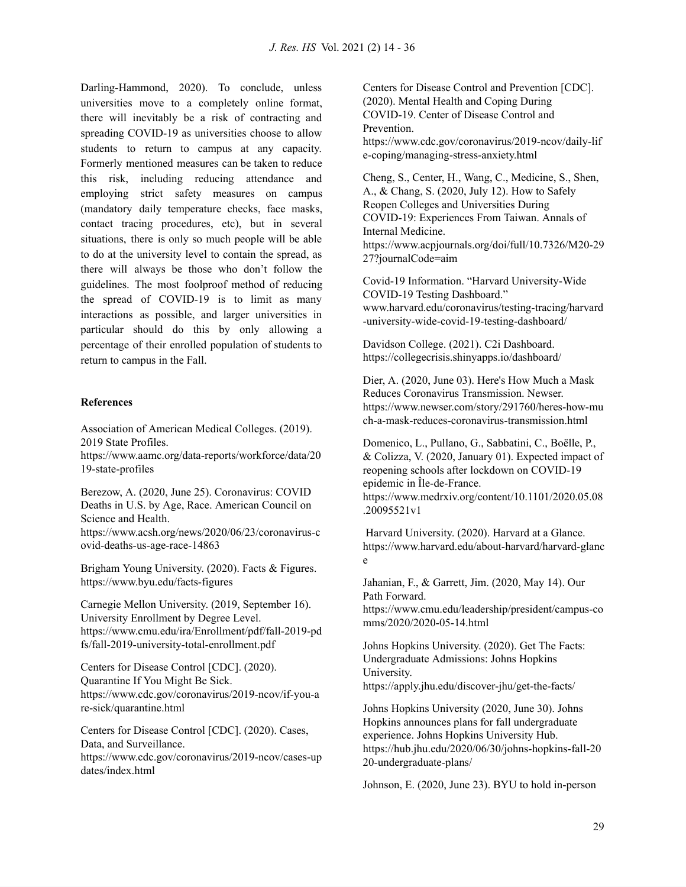Darling-Hammond, 2020). To conclude, unless universities move to a completely online format, there will inevitably be a risk of contracting and spreading COVID-19 as universities choose to allow students to return to campus at any capacity. Formerly mentioned measures can be taken to reduce this risk, including reducing attendance and employing strict safety measures on campus (mandatory daily temperature checks, face masks, contact tracing procedures, etc), but in several situations, there is only so much people will be able to do at the university level to contain the spread, as there will always be those who don't follow the guidelines. The most foolproof method of reducing the spread of COVID-19 is to limit as many interactions as possible, and larger universities in particular should do this by only allowing a percentage of their enrolled population of students to return to campus in the Fall.

### **References**

Association of American Medical Colleges. (2019). 2019 State Profiles. [https://www.aamc.org/data-reports/workforce/data/20](https://www.aamc.org/data-reports/workforce/data/2019-state-profiles) [19-state-profiles](https://www.aamc.org/data-reports/workforce/data/2019-state-profiles)

Berezow, A. (2020, June 25). Coronavirus: COVID Deaths in U.S. by Age, Race. American Council on Science and Health.

[https://www.acsh.org/news/2020/06/23/coronavirus-c](https://www.acsh.org/news/2020/06/23/coronavirus-covid-deaths-us-age-race-14863) [ovid-deaths-us-age-race-14863](https://www.acsh.org/news/2020/06/23/coronavirus-covid-deaths-us-age-race-14863)

Brigham Young University. (2020). Facts & Figures. <https://www.byu.edu/facts-figures>

Carnegie Mellon University. (2019, September 16). University Enrollment by Degree Level[.](https://www.cmu.edu/ira/Enrollment/pdf/fall-2019-pdfs/fall-2019-university-total-enrollment.pdf) [https://www.cmu.edu/ira/Enrollment/pdf/fall-2019-pd](https://www.cmu.edu/ira/Enrollment/pdf/fall-2019-pdfs/fall-2019-university-total-enrollment.pdf) [fs/fall-2019-university-total-enrollment.pdf](https://www.cmu.edu/ira/Enrollment/pdf/fall-2019-pdfs/fall-2019-university-total-enrollment.pdf)

Centers for Disease Control [CDC]. (2020). Quarantine If You Might Be Sick. [https://www.cdc.gov/coronavirus/2019-ncov/if-you-a](https://www.cdc.gov/coronavirus/2019-ncov/if-you-are-sick/quarantine.html) [re-sick/quarantine.html](https://www.cdc.gov/coronavirus/2019-ncov/if-you-are-sick/quarantine.html)

Centers for Disease Control [CDC]. (2020). Cases, Data, and Surveillance[.](https://www.cdc.gov/coronavirus/2019-ncov/cases-updates/index.html) [https://www.cdc.gov/coronavirus/2019-ncov/cases-up](https://www.cdc.gov/coronavirus/2019-ncov/cases-updates/index.html) [dates/index.html](https://www.cdc.gov/coronavirus/2019-ncov/cases-updates/index.html)

Centers for Disease Control and Prevention [CDC]. (2020). Mental Health and Coping During COVID-19. Center of Disease Control and **Prevention** 

[https://www.cdc.gov/coronavirus/2019-ncov/daily-lif](https://www.cdc.gov/coronavirus/2019-ncov/daily-life-coping/managing-stress-anxiety.html) [e-coping/managing-stress-anxiety.html](https://www.cdc.gov/coronavirus/2019-ncov/daily-life-coping/managing-stress-anxiety.html)

Cheng, S., Center, H., Wang, C., Medicine, S., Shen, A., & Chang, S. (2020, July 12). How to Safely Reopen Colleges and Universities During COVID-19: Experiences From Taiwan. Annals of Internal Medicine. [https://www.acpjournals.org/doi/full/10.7326/M20-29](https://www.acpjournals.org/doi/full/10.7326/M20-2927?journalCode=aim) [27?journalCode=aim](https://www.acpjournals.org/doi/full/10.7326/M20-2927?journalCode=aim)

Covid-19 Information. "Harvard University-Wide COVID-19 Testing Dashboard. " [www.harvard.edu/coronavirus/testing-tracing/harvard](http://www.harvard.edu/coronavirus/testing-tracing/harvard-university-wide-covid-19-testing-dashboard/) [-university-wide-covid-19-testing-dashboard/](http://www.harvard.edu/coronavirus/testing-tracing/harvard-university-wide-covid-19-testing-dashboard/)

Davidson College. (2021). C2i Dashboard[.](https://collegecrisis.shinyapps.io/dashboard/) <https://collegecrisis.shinyapps.io/dashboard/>

Dier, A. (2020, June 03). Here's How Much a Mask Reduces Coronavirus Transmission. Newser[.](https://www.newser.com/story/291760/heres-how-much-a-mask-reduces-coronavirus-transmission.html) [https://www.newser.com/story/291760/heres-how-mu](https://www.newser.com/story/291760/heres-how-much-a-mask-reduces-coronavirus-transmission.html) [ch-a-mask-reduces-coronavirus-transmission.html](https://www.newser.com/story/291760/heres-how-much-a-mask-reduces-coronavirus-transmission.html)

Domenico, L., Pullano, G., Sabbatini, C., Boëlle, P., & Colizza, V. (2020, January 01). Expected impact of reopening schools after lockdown on COVID-19 epidemic in Île-de-France. [https://www.medrxiv.org/content/10.1101/2020.05.08](https://www.medrxiv.org/content/10.1101/2020.05.08.20095521v1) [.20095521v1](https://www.medrxiv.org/content/10.1101/2020.05.08.20095521v1)

Harvard University. (2020). Harvard at a Glance. [https://www.harvard.edu/about-harvard/harvard-glanc](https://www.harvard.edu/about-harvard/harvard-glance) [e](https://www.harvard.edu/about-harvard/harvard-glance)

Jahanian, F., & Garrett, Jim. (2020, May 14). Our Path Forward. [https://www.cmu.edu/leadership/president/campus-co](https://www.cmu.edu/leadership/president/campus-comms/2020/2020-05-14.html) [mms/2020/2020-05-14.html](https://www.cmu.edu/leadership/president/campus-comms/2020/2020-05-14.html)

Johns Hopkins University. (2020). Get The Facts: Undergraduate Admissions: Johns Hopkins University. <https://apply.jhu.edu/discover-jhu/get-the-facts/>

Johns Hopkins University (2020, June 30). Johns Hopkins announces plans for fall undergraduate experience. Johns Hopkins University Hub[.](https://hub.jhu.edu/2020/06/30/johns-hopkins-fall-2020-undergraduate-plans/) [https://hub.jhu.edu/2020/06/30/johns-hopkins-fall-20](https://hub.jhu.edu/2020/06/30/johns-hopkins-fall-2020-undergraduate-plans/) [20-undergraduate-plans/](https://hub.jhu.edu/2020/06/30/johns-hopkins-fall-2020-undergraduate-plans/)

Johnson, E. (2020, June 23). BYU to hold in-person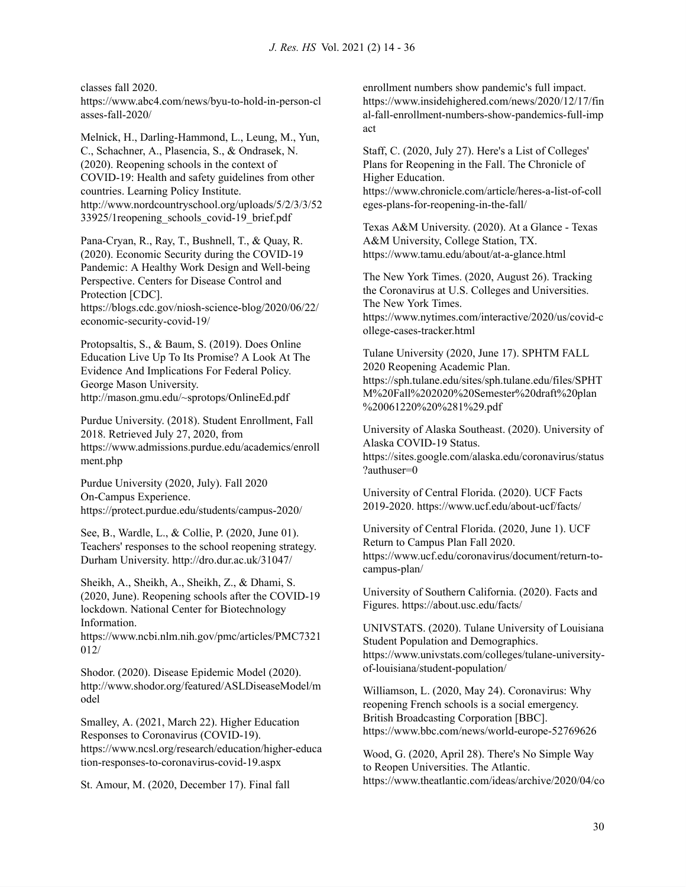classes fall 2020[.](https://www.abc4.com/news/byu-to-hold-in-person-classes-fall-2020/)

[https://www.abc4.com/news/byu-to-hold-in-person-cl](https://www.abc4.com/news/byu-to-hold-in-person-classes-fall-2020/) [asses-fall-2020/](https://www.abc4.com/news/byu-to-hold-in-person-classes-fall-2020/)

Melnick, H., Darling-Hammond, L., Leung, M., Yun, C., Schachner, A., Plasencia, S., & Ondrasek, N. (2020). Reopening schools in the context of COVID-19: Health and safety guidelines from other countries. Learning Policy Institute[.](http://www.nordcountryschool.org/uploads/5/2/3/3/5233925/1reopening_schools_covid-19_brief.pdf) [http://www.nordcountryschool.org/uploads/5/2/3/3/52](http://www.nordcountryschool.org/uploads/5/2/3/3/5233925/1reopening_schools_covid-19_brief.pdf) [33925/1reopening\\_schools\\_covid-19\\_brief.pdf](http://www.nordcountryschool.org/uploads/5/2/3/3/5233925/1reopening_schools_covid-19_brief.pdf)

Pana-Cryan, R., Ray, T., Bushnell, T., & Quay, R. (2020). Economic Security during the COVID-19 Pandemic: A Healthy Work Design and Well-being Perspective. Centers for Disease Control and Protection [CDC]. [https://blogs.cdc.gov/niosh-science-blog/2020/06/22/](https://blogs.cdc.gov/niosh-science-blog/2020/06/22/economic-security-covid-19/)

[economic-security-covid-19/](https://blogs.cdc.gov/niosh-science-blog/2020/06/22/economic-security-covid-19/)

Protopsaltis, S., & Baum, S. (2019). Does Online Education Live Up To Its Promise? A Look At The Evidence And Implications For Federal Policy. George Mason University. <http://mason.gmu.edu/~sprotops/OnlineEd.pdf>

Purdue University. (2018). Student Enrollment, Fall 2018. Retrieved July 27, 2020, from [https://www.admissions.purdue.edu/academics/enroll](https://www.admissions.purdue.edu/academics/enrollment.php) [ment.php](https://www.admissions.purdue.edu/academics/enrollment.php)

Purdue University (2020, July). Fall 2020 On-Campus Experience[.](https://protect.purdue.edu/students/campus-2020/) <https://protect.purdue.edu/students/campus-2020/>

See, B., Wardle, L., & Collie, P. (2020, June 01). Teachers' responses to the school reopening strategy. Durham University. <http://dro.dur.ac.uk/31047/>

Sheikh, A., Sheikh, A., Sheikh, Z., & Dhami, S. (2020, June). Reopening schools after the COVID-19 lockdown. National Center for Biotechnology Information[.](https://www.ncbi.nlm.nih.gov/pmc/articles/PMC7321012/)

[https://www.ncbi.nlm.nih.gov/pmc/articles/PMC7321](https://www.ncbi.nlm.nih.gov/pmc/articles/PMC7321012/) [012/](https://www.ncbi.nlm.nih.gov/pmc/articles/PMC7321012/)

Shodor. (2020). Disease Epidemic Model (2020)[.](http://www.shodor.org/featured/ASLDiseaseModel/model/) [http://www.shodor.org/featured/ASLDiseaseModel/m](http://www.shodor.org/featured/ASLDiseaseModel/model/) [odel](http://www.shodor.org/featured/ASLDiseaseModel/model/)

Smalley, A. (2021, March 22). Higher Education Responses to Coronavirus (COVID-19)[.](https://www.ncsl.org/research/education/higher-education-responses-to-coronavirus-covid-19.aspx) [https://www.ncsl.org/research/education/higher-educa](https://www.ncsl.org/research/education/higher-education-responses-to-coronavirus-covid-19.aspx) [tion-responses-to-coronavirus-covid-19.aspx](https://www.ncsl.org/research/education/higher-education-responses-to-coronavirus-covid-19.aspx)

St. Amour, M. (2020, December 17). Final fall

enrollment numbers show pandemic's full impact. [https://www.insidehighered.com/news/2020/12/17/fin](https://www.insidehighered.com/news/2020/12/17/final-fall-enrollment-numbers-show-pandemics-full-impact) [al-fall-enrollment-numbers-show-pandemics-full-imp](https://www.insidehighered.com/news/2020/12/17/final-fall-enrollment-numbers-show-pandemics-full-impact) [act](https://www.insidehighered.com/news/2020/12/17/final-fall-enrollment-numbers-show-pandemics-full-impact)

Staff, C. (2020, July 27). Here's a List of Colleges' Plans for Reopening in the Fall. The Chronicle of Higher Education. [https://www.chronicle.com/article/heres-a-list-of-coll](https://www.chronicle.com/article/heres-a-list-of-colleges-plans-for-reopening-in-the-fall/)

[eges-plans-for-reopening-in-the-fall/](https://www.chronicle.com/article/heres-a-list-of-colleges-plans-for-reopening-in-the-fall/)

Texas A&M University. (2020). At a Glance - Texas A&M University, College Station, TX. <https://www.tamu.edu/about/at-a-glance.html>

The New York Times. (2020, August 26). Tracking the Coronavirus at U.S. Colleges and Universities. The New York Times[.](https://www.nytimes.com/interactive/2020/us/covid-college-cases-tracker.html) [https://www.nytimes.com/interactive/2020/us/covid-c](https://www.nytimes.com/interactive/2020/us/covid-college-cases-tracker.html) [ollege-cases-tracker.html](https://www.nytimes.com/interactive/2020/us/covid-college-cases-tracker.html)

Tulane University (2020, June 17). SPHTM FALL 2020 Reopening Academic Plan[.](https://sph.tulane.edu/sites/sph.tulane.edu/files/SPHTM%20Fall%202020%20Semester%20draft%20plan%20061220%20%281%29.pdf) [https://sph.tulane.edu/sites/sph.tulane.edu/files/SPHT](https://sph.tulane.edu/sites/sph.tulane.edu/files/SPHTM%20Fall%202020%20Semester%20draft%20plan%20061220%20%281%29.pdf) [M%20Fall%202020%20Semester%20draft%20plan](https://sph.tulane.edu/sites/sph.tulane.edu/files/SPHTM%20Fall%202020%20Semester%20draft%20plan%20061220%20%281%29.pdf) [%20061220%20%281%29.pdf](https://sph.tulane.edu/sites/sph.tulane.edu/files/SPHTM%20Fall%202020%20Semester%20draft%20plan%20061220%20%281%29.pdf)

University of Alaska Southeast. (2020). University of Alaska COVID-19 Status. [https://sites.google.com/alaska.edu/coronavirus/status](https://sites.google.com/alaska.edu/coronavirus/status?authuser=0) [?authuser=0](https://sites.google.com/alaska.edu/coronavirus/status?authuser=0)

University of Central Florida. (2020). UCF Facts 2019-2020. <https://www.ucf.edu/about-ucf/facts/>

University of Central Florida. (2020, June 1). UCF Return to Campus Plan Fall 2020[.](https://www.ucf.edu/coronavirus/document/return-to-campus-plan/) [https://www.ucf.edu/coronavirus/document/return-to](https://www.ucf.edu/coronavirus/document/return-to-campus-plan/)[campus-plan/](https://www.ucf.edu/coronavirus/document/return-to-campus-plan/)

University of Southern California. (2020). Facts and Figures. <https://about.usc.edu/facts/>

UNIVSTATS. (2020). Tulane University of Louisiana Student Population and Demographics. [https://www.univstats.com/colleges/tulane-university](https://www.univstats.com/colleges/tulane-university-of-louisiana/student-population/)[of-louisiana/student-population/](https://www.univstats.com/colleges/tulane-university-of-louisiana/student-population/)

Williamson, L. (2020, May 24). Coronavirus: Why reopening French schools is a social emergency. British Broadcasting Corporation [BBC]. <https://www.bbc.com/news/world-europe-52769626>

Wood, G. (2020, April 28). There's No Simple Way to Reopen Universities. The Atlantic[.](https://www.theatlantic.com/ideas/archive/2020/04/colleges-are-weighing-costs-reopening-fall/610759/) [https://www.theatlantic.com/ideas/archive/2020/04/co](https://www.theatlantic.com/ideas/archive/2020/04/colleges-are-weighing-costs-reopening-fall/610759/)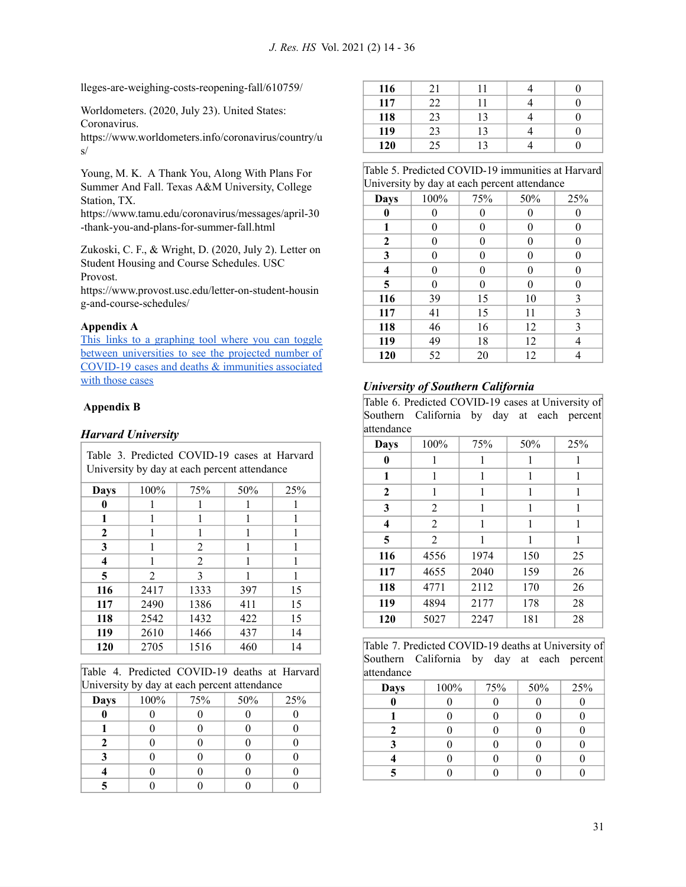[lleges-are-weighing-costs-reopening-fall/610759/](https://www.theatlantic.com/ideas/archive/2020/04/colleges-are-weighing-costs-reopening-fall/610759/)

Worldometers. (2020, July 23). United States: Coronavirus.

[https://www.worldometers.info/coronavirus/country/u](https://www.worldometers.info/coronavirus/country/us/) [s/](https://www.worldometers.info/coronavirus/country/us/)

Young, M. K. A Thank You, Along With Plans For Summer And Fall. Texas A&M University, College Station, TX.

[https://www.tamu.edu/coronavirus/messages/april-30](https://www.tamu.edu/coronavirus/messages/april-30-thank-you-and-plans-for-summer-fall.html) [-thank-you-and-plans-for-summer-fall.html](https://www.tamu.edu/coronavirus/messages/april-30-thank-you-and-plans-for-summer-fall.html)

Zukoski, C. F., & Wright, D. (2020, July 2). Letter on Student Housing and Course Schedules. USC Provost[.](https://www.provost.usc.edu/letter-on-student-housing-and-course-schedules/)

[https://www.provost.usc.edu/letter-on-student-housin](https://www.provost.usc.edu/letter-on-student-housing-and-course-schedules/) [g-and-course-schedules/](https://www.provost.usc.edu/letter-on-student-housing-and-course-schedules/)

## **Appendix A**

This links to a [graphing](https://datastudio.google.com/u/0/reporting/f594c98e-a4ba-4cc8-a7ac-689483667ddd/page/o9VZB) tool where you can toggle between [universities](https://datastudio.google.com/u/0/reporting/f594c98e-a4ba-4cc8-a7ac-689483667ddd/page/o9VZB) to see the projected number of COVID-19 cases and deaths & [immunities](https://datastudio.google.com/u/0/reporting/f594c98e-a4ba-4cc8-a7ac-689483667ddd/page/o9VZB) associated with [those](https://datastudio.google.com/u/0/reporting/f594c98e-a4ba-4cc8-a7ac-689483667ddd/page/o9VZB) cases

## **Appendix B**

## *Harvard University*

| Table 3. Predicted COVID-19 cases at Harvard<br>University by day at each percent attendance |                |      |     |     |
|----------------------------------------------------------------------------------------------|----------------|------|-----|-----|
| Days                                                                                         | 100%           | 75%  | 50% | 25% |
| 0                                                                                            | 1              | 1    | 1   |     |
| 1                                                                                            | 1              | 1    | 1   |     |
| 2                                                                                            | 1              | 1    | 1   | 1   |
| 3                                                                                            |                | 2    | 1   |     |
| $\overline{\mathbf{4}}$                                                                      | 1              | 2    | 1   | 1   |
| 5                                                                                            | $\overline{2}$ | 3    |     |     |
| 116                                                                                          | 2417           | 1333 | 397 | 15  |
| 117                                                                                          | 2490           | 1386 | 411 | 15  |
| 118                                                                                          | 2542           | 1432 | 422 | 15  |
| 119                                                                                          | 2610           | 1466 | 437 | 14  |
| 120                                                                                          | 2705           | 1516 | 460 | 14  |

Table 4. Predicted COVID-19 deaths at Harvard University by day at each percent attendance

|      | $\cdot$ |     |     |     |
|------|---------|-----|-----|-----|
| Days | 100%    | 75% | 50% | 25% |
|      |         |     |     |     |
|      |         |     |     |     |
|      |         |     |     |     |
|      |         |     |     |     |
|      |         |     |     |     |
|      |         |     |     |     |

| 116 |    |    |  |
|-----|----|----|--|
| 117 | 22 |    |  |
| 118 | 23 | 12 |  |
| 119 | 23 | 12 |  |
| 120 | 25 |    |  |

| Table 5. Predicted COVID-19 immunities at Harvard |
|---------------------------------------------------|
| University by day at each percent attendance      |

| Days             | 100% | 75% | 50%              | 25% |
|------------------|------|-----|------------------|-----|
| $\bf{0}$         | 0    | 0   | 0                |     |
| 1                | 0    | 0   | $\boldsymbol{0}$ | 0   |
| $\boldsymbol{2}$ | 0    | 0   | $\boldsymbol{0}$ | 0   |
| 3                | 0    | 0   | $\boldsymbol{0}$ |     |
| 4                | 0    | 0   | $\boldsymbol{0}$ |     |
| 5                | 0    | 0   | $\boldsymbol{0}$ | 0   |
| 116              | 39   | 15  | 10               | 3   |
| 117              | 41   | 15  | 11               | 3   |
| 118              | 46   | 16  | 12               | 3   |
| 119              | 49   | 18  | 12               | 4   |
| 120              | 52   | 20  | 12               |     |

## *University of Southern California*

Table 6. Predicted COVID-19 cases at University of Southern California by day at each percent attendance

| auendance               |                |      |     |     |
|-------------------------|----------------|------|-----|-----|
| <b>Days</b>             | 100%           | 75%  | 50% | 25% |
| 0                       | 1              | 1    | 1   | 1   |
| 1                       | 1              | 1    | 1   | 1   |
| $\mathbf{2}$            | 1              | 1    | 1   | 1   |
| 3                       | 2              | 1    | 1   | 1   |
| $\overline{\mathbf{4}}$ | $\overline{2}$ | 1    | 1   | 1   |
| 5                       | $\overline{2}$ | 1    | 1   | 1   |
| 116                     | 4556           | 1974 | 150 | 25  |
| 117                     | 4655           | 2040 | 159 | 26  |
| 118                     | 4771           | 2112 | 170 | 26  |
| 119                     | 4894           | 2177 | 178 | 28  |
| 120                     | 5027           | 2247 | 181 | 28  |

Table 7. Predicted COVID-19 deaths at University of Southern California by day at each percent attendance

| .    |      |     |     |     |
|------|------|-----|-----|-----|
| Days | 100% | 75% | 50% | 25% |
|      |      |     |     |     |
|      |      |     |     |     |
|      |      |     |     |     |
|      |      |     |     |     |
|      |      |     |     |     |
|      |      |     |     |     |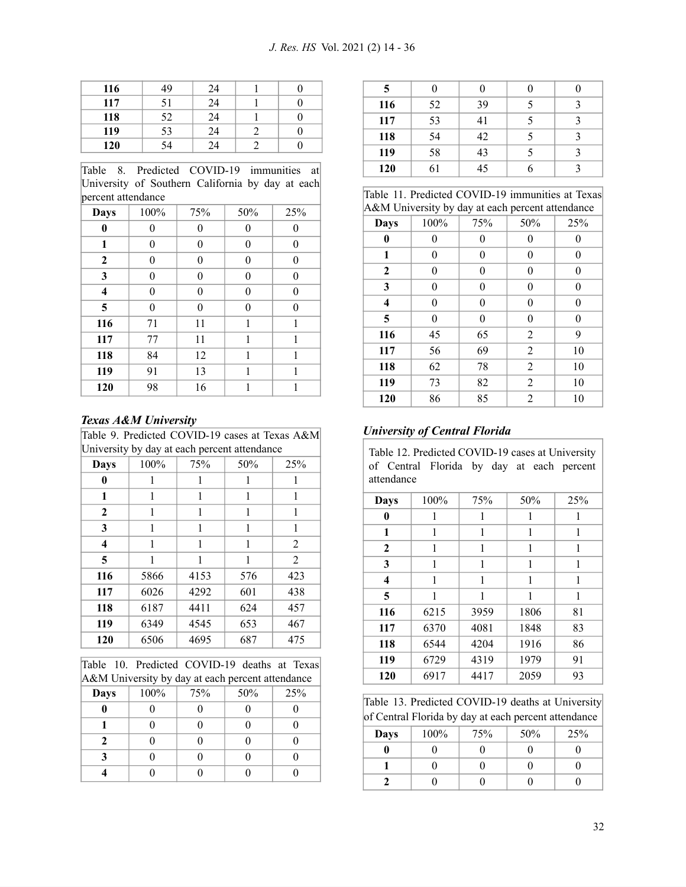| 116 | 49 | 24 |  |
|-----|----|----|--|
| 117 |    | 24 |  |
| 118 | 52 | 24 |  |
| 119 | 53 | 24 |  |
| 120 |    | 24 |  |

Table 8. Predicted COVID-19 immunities at University of Southern California by day at each percent attendance

| μ.                      |          |          |                  |          |
|-------------------------|----------|----------|------------------|----------|
| <b>Days</b>             | 100%     | 75%      | 50%              | 25%      |
| $\bf{0}$                | 0        | 0        | 0                | 0        |
| 1                       | 0        | $\theta$ | $\boldsymbol{0}$ | 0        |
| 2                       | 0        | $\theta$ | $\boldsymbol{0}$ | 0        |
| 3                       | 0        | $\theta$ | $\overline{0}$   | $\Omega$ |
| $\overline{\mathbf{4}}$ | $\theta$ | $\theta$ | $\overline{0}$   | $\theta$ |
| 5                       | $\theta$ | $\theta$ | $\overline{0}$   | $\theta$ |
| 116                     | 71       | 11       | 1                | 1        |
| 117                     | 77       | 11       | 1                | 1        |
| 118                     | 84       | 12       | 1                | 1        |
| 119                     | 91       | 13       | 1                | 1        |
| 120                     | 98       | 16       | 1                | 1        |

## *Texas A&M University*

| Table 9. Predicted COVID-19 cases at Texas A&M |  |
|------------------------------------------------|--|
| University by day at each percent attendance   |  |

| <b>Days</b>             | 100% | 75%  | 50% | 25%            |
|-------------------------|------|------|-----|----------------|
| 0                       | 1    | 1    | 1   | 1              |
| 1                       | 1    | 1    | 1   | 1              |
| $\mathbf{2}$            | 1    | 1    | 1   | 1              |
| 3                       | 1    | 1    | 1   | 1              |
| $\overline{\mathbf{4}}$ | 1    | 1    | 1   | 2              |
| 5                       | 1    | 1    | 1   | $\overline{2}$ |
| 116                     | 5866 | 4153 | 576 | 423            |
| 117                     | 6026 | 4292 | 601 | 438            |
| 118                     | 6187 | 4411 | 624 | 457            |
| 119                     | 6349 | 4545 | 653 | 467            |
| 120                     | 6506 | 4695 | 687 | 475            |

|  | Table 10. Predicted COVID-19 deaths at Texas     |  |  |
|--|--------------------------------------------------|--|--|
|  | A&M University by day at each percent attendance |  |  |

|             | _<br>- | -   |     |     |
|-------------|--------|-----|-----|-----|
| <b>Days</b> | 100%   | 75% | 50% | 25% |
|             |        |     |     |     |
|             |        |     |     |     |
| Τ.          |        |     |     |     |
|             |        |     |     |     |
|             |        |     |     |     |

| 5   |    |    |  |
|-----|----|----|--|
| 116 | 52 | 39 |  |
| 117 | 53 | 41 |  |
| 118 | 54 | 42 |  |
| 119 | 58 | 43 |  |
| 120 | 61 | 45 |  |

|  | Table 11. Predicted COVID-19 immunities at Texas |  |  |  |  |
|--|--------------------------------------------------|--|--|--|--|
|  | A&M University by day at each percent attendance |  |  |  |  |

| Accivi Omversity by day at each percent attendance |      |     |                  |              |  |  |
|----------------------------------------------------|------|-----|------------------|--------------|--|--|
| Days                                               | 100% | 75% | 50%              | 25%          |  |  |
| 0                                                  | 0    | 0   | 0                | 0            |  |  |
| 1                                                  | 0    | 0   | 0                | 0            |  |  |
| $\mathbf{2}$                                       | 0    | 0   | $\boldsymbol{0}$ | 0            |  |  |
| 3                                                  | 0    | 0   | $\overline{0}$   | $\mathbf{0}$ |  |  |
| $\overline{\mathbf{4}}$                            | 0    | 0   | $\overline{0}$   | $\mathbf{0}$ |  |  |
| 5                                                  | 0    | 0   | $\theta$         | $\mathbf{0}$ |  |  |
| 116                                                | 45   | 65  | 2                | 9            |  |  |
| 117                                                | 56   | 69  | 2                | 10           |  |  |
| 118                                                | 62   | 78  | 2                | 10           |  |  |
| 119                                                | 73   | 82  | 2                | 10           |  |  |
| 120                                                | 86   | 85  | 2                | 10           |  |  |

## *University of Central Florida*

Table 12. Predicted COVID-19 cases at University of Central Florida by day at each percent attendance

| Days         | 100% |      |      |     |
|--------------|------|------|------|-----|
|              |      | 75%  | 50%  | 25% |
| 0            | 1    | 1    | 1    | 1   |
| 1            | 1    | 1    | 1    | 1   |
| $\mathbf{2}$ | 1    | 1    | 1    | 1   |
| 3            | 1    | 1    | 1    | 1   |
| 4            | 1    | 1    | 1    | 1   |
| 5            | 1    | 1    | 1    | 1   |
| 116          | 6215 | 3959 | 1806 | 81  |
| 117          | 6370 | 4081 | 1848 | 83  |
| 118          | 6544 | 4204 | 1916 | 86  |
| 119          | 6729 | 4319 | 1979 | 91  |
| 120          | 6917 | 4417 | 2059 | 93  |

Table 13. Predicted COVID-19 deaths at University of Central Florida by day at each percent attendance

| Days | 100% | 75% | 50% | 25% |
|------|------|-----|-----|-----|
|      |      |     |     |     |
|      |      |     |     |     |
|      |      |     |     |     |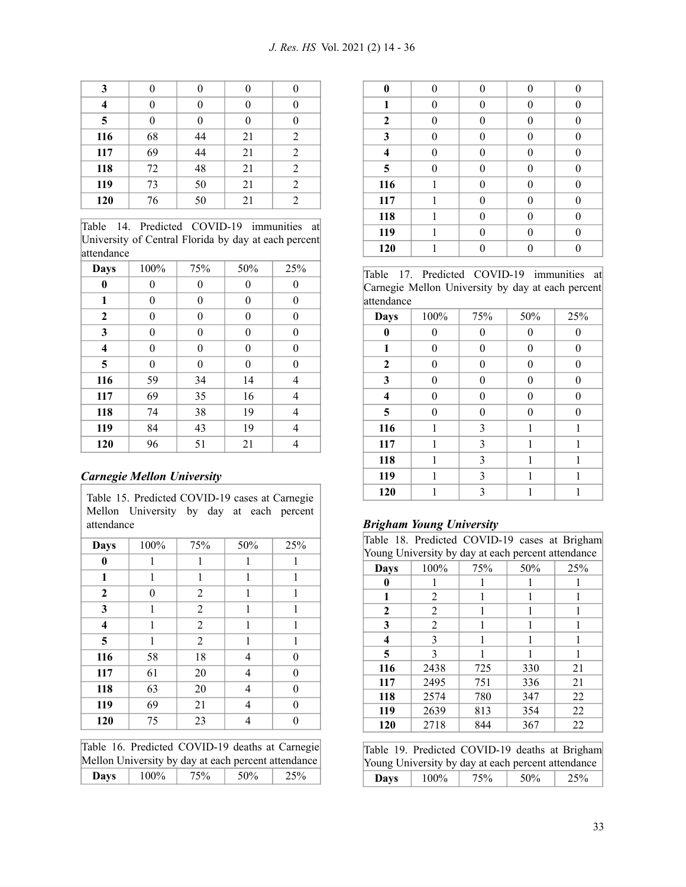| 3   |    |    |    |                |
|-----|----|----|----|----------------|
|     | 0  |    | 0  |                |
| 5   | 0  |    | 0  |                |
| 116 | 68 | 44 | 21 | 2              |
| 117 | 69 | 44 | 21 | 2              |
| 118 | 72 | 48 | 21 | 2              |
| 119 | 73 | 50 | 21 | 2              |
| 120 | 76 | 50 | 21 | $\overline{2}$ |

Table 14. Predicted COVID-19 immunities at University of Central Florida by day at each percent attendance

| Days     | 100%     | 75%      | 50%            | 25%      |
|----------|----------|----------|----------------|----------|
| $\bf{0}$ | 0        | $\theta$ | 0              | 0        |
| 1        | 0        | $\theta$ | 0              | $\theta$ |
| 2        | 0        | $\theta$ | $\overline{0}$ | $\theta$ |
| 3        | 0        | $\theta$ | 0              | $\theta$ |
| 4        | 0        | $\theta$ | $\overline{0}$ | $\theta$ |
| 5        | $\theta$ | $\theta$ | $\overline{0}$ | $\theta$ |
| 116      | 59       | 34       | 14             | 4        |
| 117      | 69       | 35       | 16             | 4        |
| 118      | 74       | 38       | 19             | 4        |
| 119      | 84       | 43       | 19             | 4        |
| 120      | 96       | 51       | 21             | 4        |

## *Carnegie Mellon University*

| attendance              | Mellon University by day at each percent |                |     |     |
|-------------------------|------------------------------------------|----------------|-----|-----|
| Days                    | 100%                                     | 75%            | 50% | 25% |
| 0                       | 1                                        | 1              | 1   | 1   |
| 1                       | 1                                        | 1              | 1   | 1   |
| $\boldsymbol{2}$        | 0                                        | 2              | 1   | 1   |
| 3                       | 1                                        | $\overline{2}$ | 1   | 1   |
| $\overline{\mathbf{4}}$ | 1                                        | $\overline{2}$ | 1   | 1   |
| 5                       | 1                                        | $\overline{2}$ | 1   | 1   |
| 116                     | 58                                       | 18             | 4   | 0   |
| 117                     | 61                                       | 20             | 4   | 0   |
| 118                     | 63                                       | 20             | 4   | 0   |
| 119                     | 69                                       | 21             | 4   | 0   |
| 120                     | 75                                       | 23             | 4   | 0   |

Table 15. Predicted COVID-19 cases at Carnegie

|                                                     |         | Table 16. Predicted COVID-19 deaths at Carnegie |     |     |  |  |
|-----------------------------------------------------|---------|-------------------------------------------------|-----|-----|--|--|
| Mellon University by day at each percent attendance |         |                                                 |     |     |  |  |
| <b>Davs</b>                                         | $100\%$ | 75%                                             | 50% | 25% |  |  |

| $\bf{0}$         | 0        | $\Omega$ | 0 | 0        |
|------------------|----------|----------|---|----------|
| 1                | 0        | 0        | 0 |          |
| $\boldsymbol{2}$ | $\theta$ | 0        | 0 | $\Omega$ |
| 3                | 0        | 0        | 0 | 0        |
| 4                | 0        | 0        | 0 |          |
| 5                | 0        | 0        | 0 | 0        |
| 116              | 1        | 0        | 0 | 0        |
| 117              | 1        | 0        | 0 | 0        |
| 118              | 1        | $\Omega$ | 0 |          |
| 119              | 1        | 0        | 0 | 0        |
| 120              | 1        |          | 0 |          |

Table 17. Predicted COVID-19 immunities at Carnegie Mellon University by day at each percent attendance

| <b>Days</b>             | 100%     | 75% | 50% | 25% |
|-------------------------|----------|-----|-----|-----|
| $\bf{0}$                | 0        | 0   | 0   | 0   |
| 1                       | $\theta$ | 0   | 0   | 0   |
| $\boldsymbol{2}$        | 0        | 0   | 0   | 0   |
| 3                       | $\theta$ | 0   | 0   | 0   |
| $\overline{\mathbf{4}}$ | $\theta$ | 0   | 0   | 0   |
| 5                       | $\theta$ | 0   | 0   | 0   |
| 116                     | 1        | 3   | 1   | 1   |
| 117                     | 1        | 3   | 1   | 1   |
| 118                     | 1        | 3   | 1   | 1   |
| 119                     | 1        | 3   | 1   | 1   |
| 120                     | 1        | 3   |     | 1   |

## *Brigham Young University*

|             | Table 18. Predicted COVID-19 cases at Brigham      |     |     |     |
|-------------|----------------------------------------------------|-----|-----|-----|
|             | Young University by day at each percent attendance |     |     |     |
| <b>Days</b> | 100%                                               | 75% | 50% | 25% |
| 0           |                                                    | 1   | 1   |     |
| 1           | 2                                                  | 1   | 1   |     |
| 2           | 2                                                  | 1   | 1   |     |
| 3           | 2                                                  | 1   | 1   |     |
| 4           | 3                                                  | 1   | 1   |     |
| 5           | 3                                                  |     |     |     |
| 116         | 2438                                               | 725 | 330 | 21  |
| 117         | 2495                                               | 751 | 336 | 21  |
| 118         | 2574                                               | 780 | 347 | 22  |
| 119         | 2639                                               | 813 | 354 | 22  |
| 120         | 2718                                               | 844 | 367 | 22  |
|             |                                                    |     |     |     |

|                                                    |         |     |     | Table 19. Predicted COVID-19 deaths at Brigham |  |  |
|----------------------------------------------------|---------|-----|-----|------------------------------------------------|--|--|
| Young University by day at each percent attendance |         |     |     |                                                |  |  |
| Days                                               | $100\%$ | 75% | 50% | 25%                                            |  |  |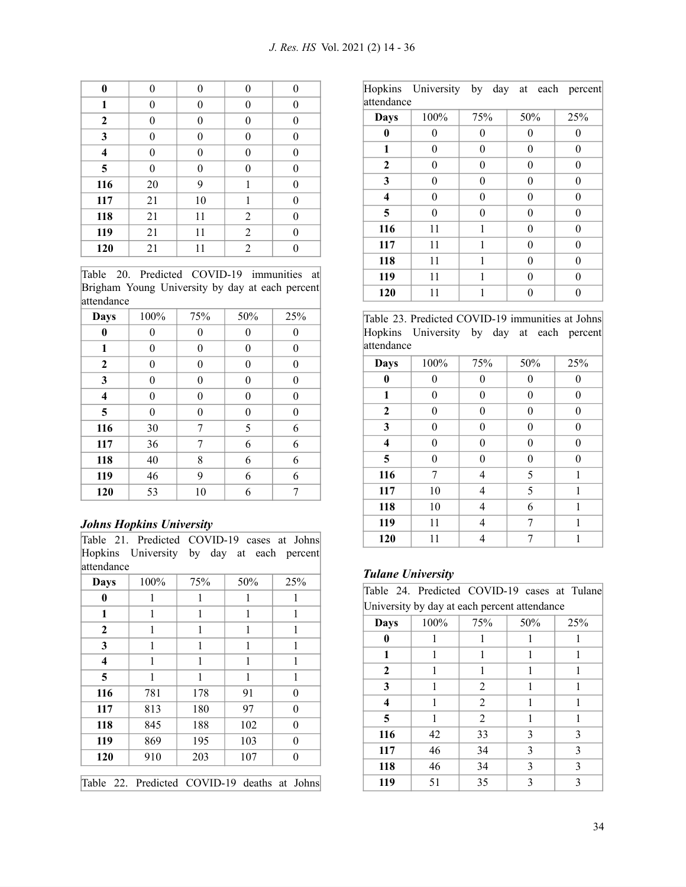| $\bf{0}$ | 0              | $\theta$ | $\overline{0}$ | $\Omega$ |
|----------|----------------|----------|----------------|----------|
| 1        | 0              | $\theta$ | 0              | $\theta$ |
| 2        | 0              | $\theta$ | 0              | $\theta$ |
| 3        | 0              | $\theta$ | $\overline{0}$ | $\theta$ |
| 4        | 0              | $\theta$ | 0              | $\theta$ |
| 5        | $\overline{0}$ | $\theta$ | 0              | $\theta$ |
| 116      | 20             | 9        | 1              | $\theta$ |
| 117      | 21             | 10       | 1              | 0        |
| 118      | 21             | 11       | 2              | $\theta$ |
| 119      | 21             | 11       | 2              | $\theta$ |
| 120      | 21             | 11       | $\overline{2}$ | 0        |

Table 20. Predicted COVID-19 immunities at Brigham Young University by day at each percent attendance

| <b>Days</b>             | 100% | 75%      | 50% | 25%      |
|-------------------------|------|----------|-----|----------|
| $\bf{0}$                | 0    | 0        | 0   |          |
| 1                       | 0    | 0        | 0   | 0        |
| $\boldsymbol{2}$        | 0    | 0        | 0   | 0        |
| 3                       | 0    | 0        | 0   | 0        |
| $\overline{\mathbf{4}}$ | 0    | 0        | 0   | 0        |
| 5                       | 0    | $\theta$ | 0   | $\theta$ |
| 116                     | 30   | 7        | 5   | 6        |
| 117                     | 36   | 7        | 6   | 6        |
| 118                     | 40   | 8        | 6   | 6        |
| 119                     | 46   | 9        | 6   | 6        |
| 120                     | 53   | 10       | 6   | 7        |

## *Johns Hopkins University*

| Table 21. Predicted COVID-19 cases at Johns |  |  |  |
|---------------------------------------------|--|--|--|
| Hopkins University by day at each percent   |  |  |  |
| attendance                                  |  |  |  |

| Days             | 100% | 75% | 50% | 25%      |
|------------------|------|-----|-----|----------|
| 0                | 1    | 1   | 1   | 1        |
| 1                | 1    | 1   | 1   | 1        |
| $\boldsymbol{2}$ | 1    | 1   | 1   | 1        |
| 3                | 1    | 1   | 1   | 1        |
| 4                | 1    | 1   | 1   | 1        |
| 5                | 1    | 1   | 1   | 1        |
| 116              | 781  | 178 | 91  | $\theta$ |
| 117              | 813  | 180 | 97  | $\theta$ |
| 118              | 845  | 188 | 102 | $\theta$ |
| 119              | 869  | 195 | 103 | $\theta$ |
| 120              | 910  | 203 | 107 | 0        |

Table 22. Predicted COVID-19 deaths at Johns

| attendance  | Hopkins University by day at each percent |     |     |          |
|-------------|-------------------------------------------|-----|-----|----------|
| <b>Days</b> | 100%                                      | 75% | 50% | 25%      |
| 0           | 0                                         | 0   | 0   | 0        |
| 1           | 0                                         | 0   | 0   | $\Omega$ |
| 2           | 0                                         | 0   | 0   | 0        |
| 3           | 0                                         | 0   | 0   | 0        |
| 4           | 0                                         | 0   | 0   | $\Omega$ |
| 5           | 0                                         | 0   | 0   | $\theta$ |
| 116         | 11                                        | 1   | 0   | $\Omega$ |
| 117         | 11                                        | 1   | 0   | 0        |
| 118         | 11                                        | 1   | 0   | $\theta$ |
| 119         | 11                                        | 1   | 0   | 0        |
| 120         | 11                                        | 1   | 0   | 0        |

Table 23. Predicted COVID-19 immunities at Johns Hopkins University by day at each percent attendance

| <b>Days</b>      | 100%     | 75%      | 50% | 25% |
|------------------|----------|----------|-----|-----|
| 0                | 0        | 0        | 0   | 0   |
| 1                | $\theta$ | $\theta$ | 0   | 0   |
| $\boldsymbol{2}$ | $\theta$ | $\theta$ | 0   | 0   |
| 3                | 0        | $\theta$ | 0   | 0   |
| 4                | 0        | $\theta$ | 0   | 0   |
| 5                | 0        | 0        | 0   | 0   |
| 116              | 7        | 4        | 5   | 1   |
| 117              | 10       | 4        | 5   | 1   |
| 118              | 10       | 4        | 6   | 1   |
| 119              | 11       | 4        | 7   | 1   |
| 120              | 11       | 4        | 7   |     |

## *Tulane University*

|             | Table 24. Predicted COVID-19 cases at Tulane |                |     |                 |
|-------------|----------------------------------------------|----------------|-----|-----------------|
|             | University by day at each percent attendance |                |     |                 |
| <b>Days</b> | 100%                                         | 75%            | 50% | 25 <sup>%</sup> |
| 0           | 1                                            | 1              | 1   | 1               |
| 1           | 1                                            | 1              | 1   |                 |
| 2           | 1                                            | 1              | 1   | 1               |
| 3           | 1                                            | 2              | 1   | 1               |
| 4           | 1                                            | $\overline{2}$ | 1   | 1               |
| 5           | 1                                            | 2              | 1   | 1               |
| 116         | 42                                           | 33             | 3   | 3               |
| 117         | 46                                           | 34             | 3   | 3               |
| 118         | 46                                           | 34             | 3   | 3               |
| 119         | 51                                           | 35             | 3   | 3               |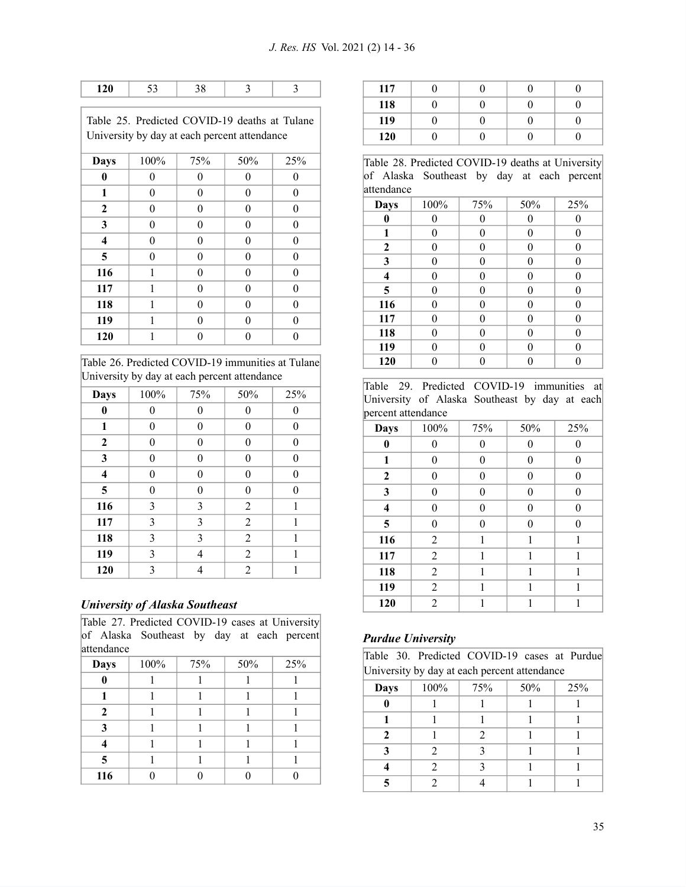|                                              |         |     | Table 25. Predicted COVID-19 deaths at Tulane |     |  |  |
|----------------------------------------------|---------|-----|-----------------------------------------------|-----|--|--|
| University by day at each percent attendance |         |     |                                               |     |  |  |
|                                              |         |     |                                               |     |  |  |
| Davs                                         | $100\%$ | 75% | 50%                                           | 25% |  |  |

| Days                    | 10070 | 1370             | $JU$ <sup>70</sup> | <b>2570</b> |
|-------------------------|-------|------------------|--------------------|-------------|
| $\bf{0}$                | 0     | 0                | 0                  | 0           |
| 1                       | 0     | 0                | $\overline{0}$     | 0           |
| $\boldsymbol{2}$        | 0     | $\theta$         | $\overline{0}$     | $\theta$    |
| 3                       | 0     | $\boldsymbol{0}$ | $\overline{0}$     | $\theta$    |
| $\overline{\mathbf{4}}$ | 0     | 0                | $\overline{0}$     | 0           |
| 5                       | 0     | 0                | $\overline{0}$     | 0           |
| 116                     | 1     | 0                | $\overline{0}$     | 0           |
| 117                     | 1     | 0                | $\overline{0}$     | $\theta$    |
| 118                     | 1     | 0                | $\overline{0}$     | 0           |
| 119                     | 1     | 0                | $\overline{0}$     | 0           |
| 120                     | 1     | 0                | 0                  |             |

Table 26. Predicted COVID-19 immunities at Tulane University by day at each percent attendance

| <b>Days</b>             | 100% | 75%      | 50%            | 25% |
|-------------------------|------|----------|----------------|-----|
| 0                       | 0    | 0        | 0              |     |
| 1                       | 0    | $\theta$ | 0              | 0   |
| 2                       | 0    | $\theta$ | 0              | 0   |
| 3                       | 0    | $\theta$ | 0              | 0   |
| $\overline{\mathbf{4}}$ | 0    | $\theta$ | 0              | 0   |
| 5                       | 0    | $\theta$ | 0              | 0   |
| 116                     | 3    | 3        | 2              | 1   |
| 117                     | 3    | 3        | $\overline{2}$ | 1   |
| 118                     | 3    | 3        | $\overline{2}$ | 1   |
| 119                     | 3    | 4        | $\overline{2}$ | 1   |
| 120                     | 3    | 4        | $\overline{c}$ | 1   |

## *University of Alaska Southeast*

Table 27. Predicted COVID-19 cases at University of Alaska Southeast by day at each percent attendance

| Days         | 100% | 75% | 50% | 25% |
|--------------|------|-----|-----|-----|
|              |      |     |     |     |
|              |      |     |     |     |
| 2            |      |     |     |     |
| $\mathbf{a}$ |      |     |     |     |
|              |      |     |     |     |
| 5            |      |     |     |     |
| 116          |      |     |     |     |

| 117 |  |  |
|-----|--|--|
| 118 |  |  |
| 119 |  |  |
| 120 |  |  |

Table 28. Predicted COVID-19 deaths at University of Alaska Southeast by day at each percent attendance

| auvinance |      |     |                  |     |  |
|-----------|------|-----|------------------|-----|--|
| Days      | 100% | 75% | 50%              | 25% |  |
| 0         | 0    | 0   | 0                |     |  |
| 1         | 0    | 0   | 0                | 0   |  |
| 2         | 0    | 0   | 0                | 0   |  |
| 3         | 0    | 0   | $\boldsymbol{0}$ | 0   |  |
| 4         | 0    | 0   | $\overline{0}$   | 0   |  |
| 5         | 0    | 0   | $\theta$         | 0   |  |
| 116       | 0    | 0   | $\overline{0}$   | 0   |  |
| 117       | 0    | 0   | $\overline{0}$   | 0   |  |
| 118       | 0    | 0   | $\theta$         | 0   |  |
| 119       | 0    | 0   | 0                | 0   |  |
| 120       |      |     |                  |     |  |

Table 29. Predicted COVID-19 immunities at University of Alaska Southeast by day at each percent attendance

| percent attenuance      |                |                  |                |          |
|-------------------------|----------------|------------------|----------------|----------|
| <b>Days</b>             | 100%           | 75%              | $50\%$         | 25%      |
| $\bf{0}$                | 0              | 0                | $\theta$       | 0        |
| 1                       | $\overline{0}$ | $\boldsymbol{0}$ | $\overline{0}$ | 0        |
| $\mathbf{2}$            | $\theta$       | $\theta$         | $\theta$       | 0        |
| 3                       | 0              | $\theta$         | $\theta$       | $\theta$ |
| $\overline{\mathbf{4}}$ | 0              | $\theta$         | $\theta$       | $\theta$ |
| 5                       | 0              | $\theta$         | $\theta$       | 0        |
| 116                     | $\overline{2}$ | 1                | 1              | 1        |
| 117                     | $\overline{2}$ | 1                | 1              | 1        |
| 118                     | $\overline{2}$ | 1                | 1              | 1        |
| 119                     | $\overline{2}$ | 1                | 1              | 1        |
| 120                     | $\overline{2}$ |                  | 1              |          |

## *Purdue University*

|  |                                              |  | Table 30. Predicted COVID-19 cases at Purdue |
|--|----------------------------------------------|--|----------------------------------------------|
|  | University by day at each percent attendance |  |                                              |

| <b>Days</b> | 100% | 75% | 50% | 25% |
|-------------|------|-----|-----|-----|
|             |      |     |     |     |
|             |      |     |     |     |
|             |      |     |     |     |
|             |      |     |     |     |
|             |      |     |     |     |
|             |      |     |     |     |